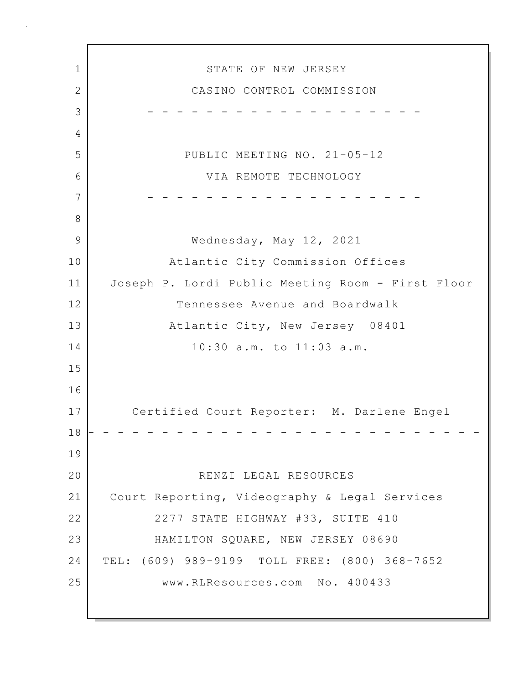1 STATE OF NEW JERSEY 2 CASINO CONTROL COMMISSION 3 - - - - - - - - - - - - - - - - - - - 4 5 PUBLIC MEETING NO. 21-05-12 6 VIA REMOTE TECHNOLOGY 7 - - - - - - - - - - - - - - - - - - - 8 9 Wednesday, May 12, 2021 10 Atlantic City Commission Offices 11 Joseph P. Lordi Public Meeting Room - First Floor 12 Tennessee Avenue and Boardwalk 13 Atlantic City, New Jersey 08401 14 10:30 a.m. to 11:03 a.m. 15 16 17 Certified Court Reporter: M. Darlene Engel 18 - - - - - - - - - - - - - - - - - - - - - - - - - - - 19 20 RENZI LEGAL RESOURCES 21 Court Reporting, Videography & Legal Services 22 2277 STATE HIGHWAY #33, SUITE 410 23 HAMILTON SQUARE, NEW JERSEY 08690 24 TEL: (609) 989-9199 TOLL FREE: (800) 368-7652 25 www.RLResources.com No. 400433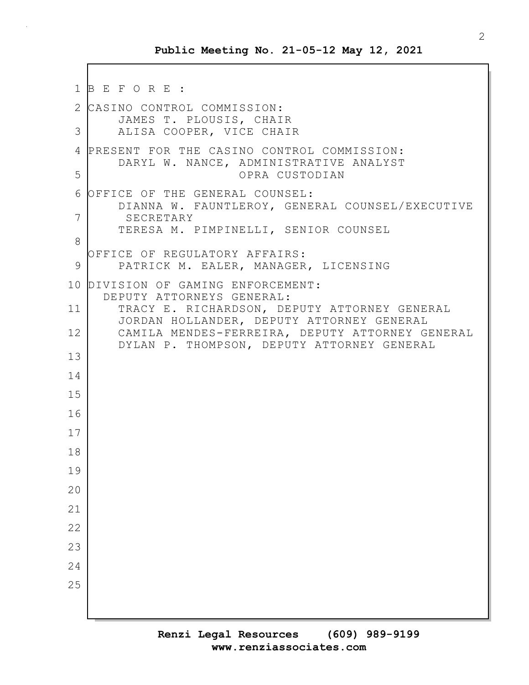```
1 B E F O R E :
2 CASINO CONTROL COMMISSION:
       JAMES T. PLOUSIS, CHAIR
 3 ALISA COOPER, VICE CHAIR
4 PRESENT FOR THE CASINO CONTROL COMMISSION:
       DARYL W. NANCE, ADMINISTRATIVE ANALYST
5 OPRA CUSTODIAN
 6 OFFICE OF THE GENERAL COUNSEL:
       DIANNA W. FAUNTLEROY, GENERAL COUNSEL/EXECUTIVE
7 SECRETARY
       TERESA M. PIMPINELLI, SENIOR COUNSEL
8
  OFFICE OF REGULATORY AFFAIRS:
 9 | PATRICK M. EALER, MANAGER, LICENSING
10 DIVISION OF GAMING ENFORCEMENT:
     DEPUTY ATTORNEYS GENERAL:
11 TRACY E. RICHARDSON, DEPUTY ATTORNEY GENERAL
       JORDAN HOLLANDER, DEPUTY ATTORNEY GENERAL
12 CAMILA MENDES-FERREIRA, DEPUTY ATTORNEY GENERAL
       DYLAN P. THOMPSON, DEPUTY ATTORNEY GENERAL
13
14
15
16
17
18
19
20
21
22
23
24
25
```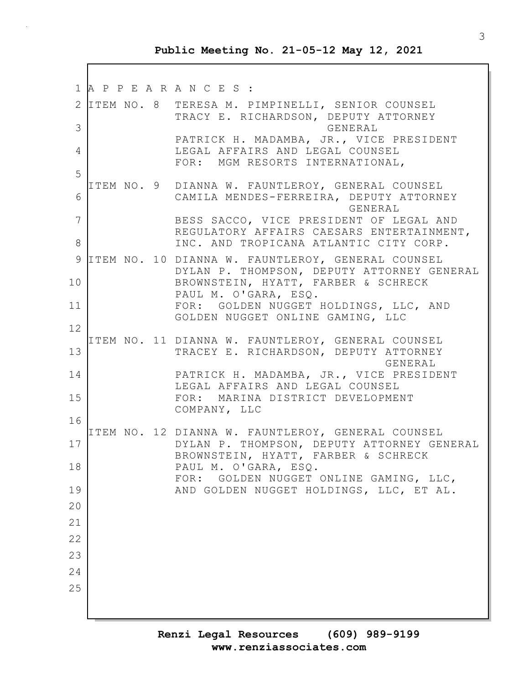1 A P P E A R A N C E S : 2 ITEM NO. 8 TERESA M. PIMPINELLI, SENIOR COUNSEL TRACY E. RICHARDSON, DEPUTY ATTORNEY 3 GENERAL PATRICK H. MADAMBA, JR., VICE PRESIDENT 4 LEGAL AFFAIRS AND LEGAL COUNSEL FOR: MGM RESORTS INTERNATIONAL, 5 ITEM NO. 9 DIANNA W. FAUNTLEROY, GENERAL COUNSEL 6 CAMILA MENDES-FERREIRA, DEPUTY ATTORNEY GENERAL 7 BESS SACCO, VICE PRESIDENT OF LEGAL AND REGULATORY AFFAIRS CAESARS ENTERTAINMENT, 8 INC. AND TROPICANA ATLANTIC CITY CORP. 9 ITEM NO. 10 DIANNA W. FAUNTLEROY, GENERAL COUNSEL DYLAN P. THOMPSON, DEPUTY ATTORNEY GENERAL 10 BROWNSTEIN, HYATT, FARBER & SCHRECK PAUL M. O'GARA, ESQ. 11 FOR: GOLDEN NUGGET HOLDINGS, LLC, AND GOLDEN NUGGET ONLINE GAMING, LLC 12 ITEM NO. 11 DIANNA W. FAUNTLEROY, GENERAL COUNSEL 13 TRACEY E. RICHARDSON, DEPUTY ATTORNEY **GENERAL** 14 PATRICK H. MADAMBA, JR., VICE PRESIDENT LEGAL AFFAIRS AND LEGAL COUNSEL 15 FOR: MARINA DISTRICT DEVELOPMENT COMPANY, LLC 16 ITEM NO. 12 DIANNA W. FAUNTLEROY, GENERAL COUNSEL 17 DYLAN P. THOMPSON, DEPUTY ATTORNEY GENERAL BROWNSTEIN, HYATT, FARBER & SCHRECK 18 PAUL M. O'GARA, ESQ. FOR: GOLDEN NUGGET ONLINE GAMING, LLC, 19 AND GOLDEN NUGGET HOLDINGS, LLC, ET AL. 20 21 22 23 24 25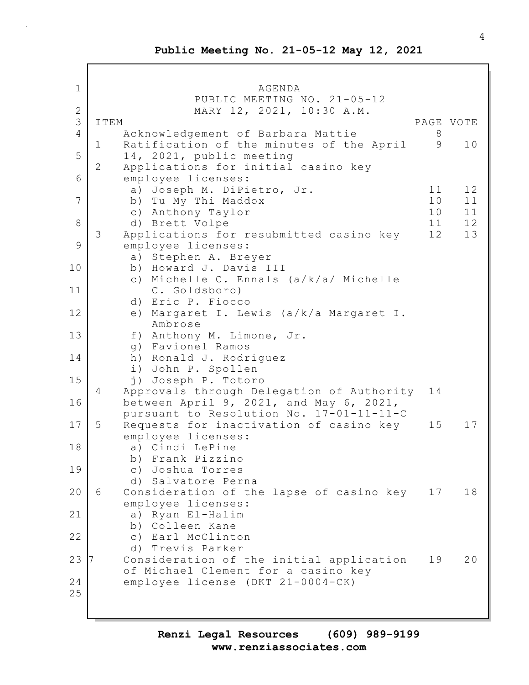Г

| $\mathbf{1}$   | AGENDA                                                    |  |
|----------------|-----------------------------------------------------------|--|
| $\sqrt{2}$     | PUBLIC MEETING NO. 21-05-12<br>MARY 12, 2021, 10:30 A.M.  |  |
| 3              | ITEM<br>PAGE VOTE                                         |  |
| $\overline{4}$ | Acknowledgement of Barbara Mattie<br>8                    |  |
|                | Ratification of the minutes of the April<br>9<br>10<br>1  |  |
| 5              | 14, 2021, public meeting                                  |  |
|                | 2<br>Applications for initial casino key                  |  |
| 6              | employee licenses:                                        |  |
|                | 12<br>a) Joseph M. DiPietro, Jr.<br>11                    |  |
| 7              | b) Tu My Thi Maddox<br>10<br>11                           |  |
|                | 10<br>11<br>c) Anthony Taylor                             |  |
| 8              | 12<br>11<br>d) Brett Volpe                                |  |
|                | 3<br>12<br>13<br>Applications for resubmitted casino key  |  |
| 9              | employee licenses:                                        |  |
|                | a) Stephen A. Breyer                                      |  |
| 10             | b) Howard J. Davis III                                    |  |
|                | c) Michelle C. Ennals (a/k/a/ Michelle                    |  |
| 11             | C. Goldsboro)                                             |  |
|                | d) Eric P. Fiocco                                         |  |
| 12             | e) Margaret I. Lewis (a/k/a Margaret I.                   |  |
|                | Ambrose                                                   |  |
| 13             | f) Anthony M. Limone, Jr.                                 |  |
|                | g) Favionel Ramos                                         |  |
| 14             | h) Ronald J. Rodriguez                                    |  |
| 15             | i) John P. Spollen<br>j) Joseph P. Totoro                 |  |
|                | Approvals through Delegation of Authority<br>4<br>14      |  |
| 16             | between April 9, 2021, and May 6, 2021,                   |  |
|                | pursuant to Resolution No. 17-01-11-11-C                  |  |
| 17             | 5<br>Requests for inactivation of casino key<br>15<br>17  |  |
|                | employee licenses:                                        |  |
| 18             | a) Cindi LePine                                           |  |
|                | b) Frank Pizzino                                          |  |
| 19             | c) Joshua Torres                                          |  |
|                | d) Salvatore Perna                                        |  |
| 20             | 6<br>Consideration of the lapse of casino key<br>18<br>17 |  |
|                | employee licenses:                                        |  |
| 21             | a) Ryan El-Halim                                          |  |
|                | b) Colleen Kane                                           |  |
| 22             | c) Earl McClinton                                         |  |
|                | d) Trevis Parker                                          |  |
| 23             | Consideration of the initial application<br>19<br>20      |  |
|                | of Michael Clement for a casino key                       |  |
| 24             | employee license (DKT 21-0004-CK)                         |  |
| 25             |                                                           |  |
|                |                                                           |  |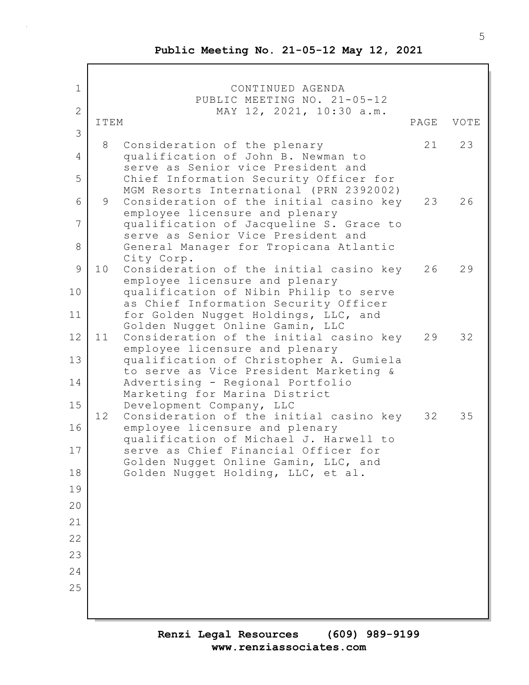1 CONTINUED AGENDA PUBLIC MEETING NO. 21-05-12 2 MAY 12, 2021, 10:30 a.m. ITEM PAGE VOTE 3 8 Consideration of the plenary 21 23 4 qualification of John B. Newman to serve as Senior vice President and 5 Chief Information Security Officer for MGM Resorts International (PRN 2392002) 6 9 Consideration of the initial casino key 23 26 employee licensure and plenary 7 qualification of Jacqueline S. Grace to serve as Senior Vice President and 8 General Manager for Tropicana Atlantic City Corp. 9 10 Consideration of the initial casino key 26 29 employee licensure and plenary 10 qualification of Nibin Philip to serve as Chief Information Security Officer 11 for Golden Nugget Holdings, LLC, and Golden Nugget Online Gamin, LLC 12 11 Consideration of the initial casino key 29 32 employee licensure and plenary 13 qualification of Christopher A. Gumiela to serve as Vice President Marketing & 14 Advertising - Regional Portfolio Marketing for Marina District 15 Development Company, LLC 12 Consideration of the initial casino key 32 35 16 employee licensure and plenary qualification of Michael J. Harwell to 17 serve as Chief Financial Officer for Golden Nugget Online Gamin, LLC, and 18 Golden Nugget Holding, LLC, et al. 19 20 21 22 23 24 25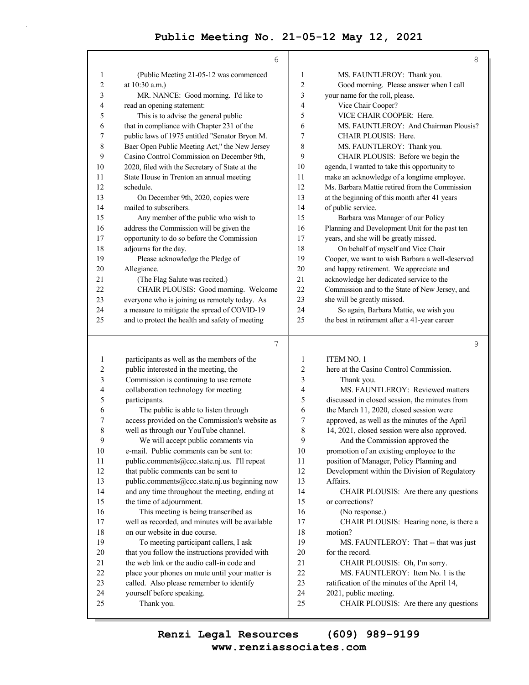|                | 6                                               |                | 8                                               |
|----------------|-------------------------------------------------|----------------|-------------------------------------------------|
| 1              | (Public Meeting 21-05-12 was commenced          | 1              | MS. FAUNTLEROY: Thank you.                      |
| $\overline{c}$ | at 10:30 a.m.)                                  | $\overline{c}$ | Good morning. Please answer when I call         |
| 3              | MR. NANCE: Good morning. I'd like to            | 3              | your name for the roll, please.                 |
| 4              | read an opening statement:                      | 4              | Vice Chair Cooper?                              |
| 5              | This is to advise the general public            | 5              | VICE CHAIR COOPER: Here.                        |
| 6              | that in compliance with Chapter 231 of the      | 6              | MS. FAUNTLEROY: And Chairman Plousis?           |
| 7              | public laws of 1975 entitled "Senator Bryon M.  | 7              | CHAIR PLOUSIS: Here.                            |
| 8              | Baer Open Public Meeting Act," the New Jersey   | 8              | MS. FAUNTLEROY: Thank you.                      |
| 9              | Casino Control Commission on December 9th,      | 9              | CHAIR PLOUSIS: Before we begin the              |
| 10             | 2020, filed with the Secretary of State at the  | 10             | agenda, I wanted to take this opportunity to    |
| 11             | State House in Trenton an annual meeting        | 11             | make an acknowledge of a longtime employee.     |
| 12             | schedule.                                       | 12             | Ms. Barbara Mattie retired from the Commission  |
| 13             | On December 9th, 2020, copies were              | 13             | at the beginning of this month after 41 years   |
| 14             | mailed to subscribers.                          | 14             | of public service.                              |
| 15             | Any member of the public who wish to            | 15             | Barbara was Manager of our Policy               |
| 16             | address the Commission will be given the        | 16             | Planning and Development Unit for the past ten  |
| 17             | opportunity to do so before the Commission      | 17             | years, and she will be greatly missed.          |
| 18             | adjourns for the day.                           | 18             | On behalf of myself and Vice Chair              |
| 19             | Please acknowledge the Pledge of                | 19             | Cooper, we want to wish Barbara a well-deserved |
| 20             | Allegiance.                                     | 20             | and happy retirement. We appreciate and         |
| 21             | (The Flag Salute was recited.)                  | 21             | acknowledge her dedicated service to the        |
| 22             | CHAIR PLOUSIS: Good morning. Welcome            | 22             | Commission and to the State of New Jersey, and  |
| 23             | everyone who is joining us remotely today. As   | 23             | she will be greatly missed.                     |
| 24             | a measure to mitigate the spread of COVID-19    | 24             | So again, Barbara Mattie, we wish you           |
| 25             | and to protect the health and safety of meeting | 25             | the best in retirement after a 41-year career   |
|                | 7                                               |                | 9                                               |
|                |                                                 |                |                                                 |
| 1              | participants as well as the members of the      | 1              | ITEM NO. 1                                      |
| $\overline{2}$ | public interested in the meeting, the           | $\overline{c}$ | here at the Casino Control Commission.          |
| 3              | Commission is continuing to use remote          | 3              | Thank you.                                      |
| 4              | collaboration technology for meeting            | 4              | MS. FAUNTLEROY: Reviewed matters                |
| 5              | participants.                                   | 5              | discussed in closed session, the minutes from   |
| 6              | The public is able to listen through            | 6              | the March 11, 2020, closed session were         |
| 7              | access provided on the Commission's website as  | 7              | approved, as well as the minutes of the April   |
| 8              | well as through our YouTube channel.            | 8              | 14, 2021, closed session were also approved.    |

| 3              | Commission is continuing to use remote          | 3  | Thank yo        |
|----------------|-------------------------------------------------|----|-----------------|
| $\overline{4}$ | collaboration technology for meeting            | 4  | MS. FAU         |
| 5              | participants.                                   | 5  | discussed in cl |
| 6              | The public is able to listen through            | 6  | the March 11,   |
| $\tau$         | access provided on the Commission's website as  | 7  | approved, as v  |
| 8              | well as through our YouTube channel.            | 8  | 14, 2021, clos  |
| 9              | We will accept public comments via              | 9  | And the C       |
| 10             | e-mail. Public comments can be sent to:         | 10 | promotion of a  |
| 11             | public.comments@ccc.state.nj.us. I'll repeat    | 11 | position of Ma  |
| 12             | that public comments can be sent to             | 12 | Development     |
| 13             | public.comments@ccc.state.nj.us beginning now   | 13 | Affairs.        |
| 14             | and any time throughout the meeting, ending at  | 14 | <b>CHAIR P</b>  |
| 15             | the time of adjournment.                        | 15 | or corrections' |
| 16             | This meeting is being transcribed as            | 16 | (No respo       |
| 17             | well as recorded, and minutes will be available | 17 | <b>CHAIRP</b>   |
| 18             | on our website in due course.                   | 18 | motion?         |
| 19             | To meeting participant callers, I ask           | 19 | MS. FAU         |
| 20             | that you follow the instructions provided with  | 20 | for the record. |
| 21             | the web link or the audio call-in code and      | 21 | <b>CHAIR P</b>  |
| 22             | place your phones on mute until your matter is  | 22 | MS. FAU         |
| 23             | called. Also please remember to identify        | 23 | ratification of |
| 24             | yourself before speaking.                       | 24 | 2021, public n  |
| 25             | Thank you.                                      | 25 | <b>CHAIR P</b>  |
|                |                                                 |    |                 |

Commission approved the of an existing employee to the

Manager, Policy Planning and

1t within the Division of Regulatory

PLOUSIS: Are there any questions 1s?

ponse.)

PLOUSIS: Hearing none, is there a

19 MS. FAUNTLEROY: That -- that was just

PLOUSIS: Oh, I'm sorry.

UNTLEROY: Item No. 1 is the

of the minutes of the April 14,

- meeting.
	- PLOUSIS: Are there any questions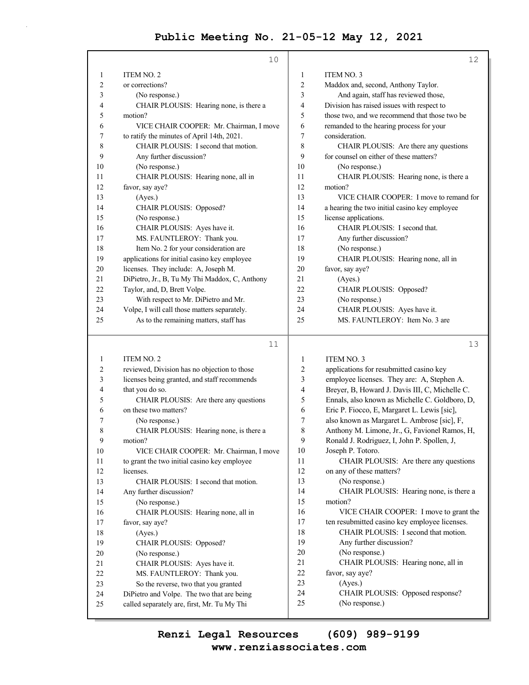| ITEM NO. 2<br>ITEM NO. 3<br>1<br>1<br>2<br>2<br>or corrections?<br>Maddox and, second, Anthony Taylor.<br>3<br>And again, staff has reviewed those,<br>3<br>(No response.)<br>Division has raised issues with respect to<br>4<br>CHAIR PLOUSIS: Hearing none, is there a<br>4<br>5<br>5<br>those two, and we recommend that those two be<br>motion?<br>VICE CHAIR COOPER: Mr. Chairman, I move<br>remanded to the hearing process for your<br>6<br>6<br>consideration.<br>7<br>to ratify the minutes of April 14th, 2021.<br>7<br>8<br>CHAIR PLOUSIS: I second that motion.<br>8<br>CHAIR PLOUSIS: Are there any questions<br>9<br>9<br>for counsel on either of these matters?<br>Any further discussion?<br>10<br>10<br>(No response.)<br>(No response.)<br>CHAIR PLOUSIS: Hearing none, all in<br>CHAIR PLOUSIS: Hearing none, is there a<br>11<br>11 |    | 10              |    | 12                                      |
|----------------------------------------------------------------------------------------------------------------------------------------------------------------------------------------------------------------------------------------------------------------------------------------------------------------------------------------------------------------------------------------------------------------------------------------------------------------------------------------------------------------------------------------------------------------------------------------------------------------------------------------------------------------------------------------------------------------------------------------------------------------------------------------------------------------------------------------------------------|----|-----------------|----|-----------------------------------------|
|                                                                                                                                                                                                                                                                                                                                                                                                                                                                                                                                                                                                                                                                                                                                                                                                                                                          |    |                 |    |                                         |
|                                                                                                                                                                                                                                                                                                                                                                                                                                                                                                                                                                                                                                                                                                                                                                                                                                                          |    |                 |    |                                         |
|                                                                                                                                                                                                                                                                                                                                                                                                                                                                                                                                                                                                                                                                                                                                                                                                                                                          |    |                 |    |                                         |
|                                                                                                                                                                                                                                                                                                                                                                                                                                                                                                                                                                                                                                                                                                                                                                                                                                                          |    |                 |    |                                         |
|                                                                                                                                                                                                                                                                                                                                                                                                                                                                                                                                                                                                                                                                                                                                                                                                                                                          |    |                 |    |                                         |
|                                                                                                                                                                                                                                                                                                                                                                                                                                                                                                                                                                                                                                                                                                                                                                                                                                                          |    |                 |    |                                         |
|                                                                                                                                                                                                                                                                                                                                                                                                                                                                                                                                                                                                                                                                                                                                                                                                                                                          |    |                 |    |                                         |
|                                                                                                                                                                                                                                                                                                                                                                                                                                                                                                                                                                                                                                                                                                                                                                                                                                                          |    |                 |    |                                         |
|                                                                                                                                                                                                                                                                                                                                                                                                                                                                                                                                                                                                                                                                                                                                                                                                                                                          |    |                 |    |                                         |
|                                                                                                                                                                                                                                                                                                                                                                                                                                                                                                                                                                                                                                                                                                                                                                                                                                                          |    |                 |    |                                         |
|                                                                                                                                                                                                                                                                                                                                                                                                                                                                                                                                                                                                                                                                                                                                                                                                                                                          |    |                 |    |                                         |
|                                                                                                                                                                                                                                                                                                                                                                                                                                                                                                                                                                                                                                                                                                                                                                                                                                                          | 12 | favor, say aye? | 12 | motion?                                 |
| 13<br>13<br>(Ayes.)                                                                                                                                                                                                                                                                                                                                                                                                                                                                                                                                                                                                                                                                                                                                                                                                                                      |    |                 |    | VICE CHAIR COOPER: I move to remand for |
| CHAIR PLOUSIS: Opposed?<br>a hearing the two initial casino key employee<br>14<br>14                                                                                                                                                                                                                                                                                                                                                                                                                                                                                                                                                                                                                                                                                                                                                                     |    |                 |    |                                         |
| 15<br>(No response.)<br>license applications.<br>15                                                                                                                                                                                                                                                                                                                                                                                                                                                                                                                                                                                                                                                                                                                                                                                                      |    |                 |    |                                         |
| 16<br>CHAIR PLOUSIS: Ayes have it.<br>CHAIR PLOUSIS: I second that.<br>16                                                                                                                                                                                                                                                                                                                                                                                                                                                                                                                                                                                                                                                                                                                                                                                |    |                 |    |                                         |
| 17<br>MS. FAUNTLEROY: Thank you.<br>Any further discussion?<br>17                                                                                                                                                                                                                                                                                                                                                                                                                                                                                                                                                                                                                                                                                                                                                                                        |    |                 |    |                                         |
| 18<br>Item No. 2 for your consideration are<br>18<br>(No response.)                                                                                                                                                                                                                                                                                                                                                                                                                                                                                                                                                                                                                                                                                                                                                                                      |    |                 |    |                                         |
| applications for initial casino key employee<br>19<br>CHAIR PLOUSIS: Hearing none, all in<br>19                                                                                                                                                                                                                                                                                                                                                                                                                                                                                                                                                                                                                                                                                                                                                          |    |                 |    |                                         |
| 20<br>licenses. They include: A, Joseph M.<br>favor, say aye?<br>20                                                                                                                                                                                                                                                                                                                                                                                                                                                                                                                                                                                                                                                                                                                                                                                      |    |                 |    |                                         |
| DiPietro, Jr., B, Tu My Thi Maddox, C, Anthony<br>21<br>21<br>(Ayes.)                                                                                                                                                                                                                                                                                                                                                                                                                                                                                                                                                                                                                                                                                                                                                                                    |    |                 |    |                                         |
| 22<br>Taylor, and, D, Brett Volpe.<br>22<br>CHAIR PLOUSIS: Opposed?                                                                                                                                                                                                                                                                                                                                                                                                                                                                                                                                                                                                                                                                                                                                                                                      |    |                 |    |                                         |
| 23<br>With respect to Mr. DiPietro and Mr.<br>(No response.)<br>23                                                                                                                                                                                                                                                                                                                                                                                                                                                                                                                                                                                                                                                                                                                                                                                       |    |                 |    |                                         |
| CHAIR PLOUSIS: Ayes have it.<br>24<br>Volpe, I will call those matters separately.<br>24                                                                                                                                                                                                                                                                                                                                                                                                                                                                                                                                                                                                                                                                                                                                                                 |    |                 |    |                                         |
| MS. FAUNTLEROY: Item No. 3 are<br>25<br>25<br>As to the remaining matters, staff has                                                                                                                                                                                                                                                                                                                                                                                                                                                                                                                                                                                                                                                                                                                                                                     |    |                 |    |                                         |

#### 11

13

1 **ITEM NO. 2** 2 reviewed, Division has no objection to those 3 licenses being granted, and staff recommends 4 that you do so. 5 CHAIR PLOUSIS: Are there any questions 6 on these two matters? 7 (No response.) 8 CHAIR PLOUSIS: Hearing none, is there a 9 motion? 10 VICE CHAIR COOPER: Mr. Chairman, I move 11 to grant the two initial casino key employee 12 licenses. 13 CHAIR PLOUSIS: I second that motion. 14 Any further discussion? 15 (No response.) 16 CHAIR PLOUSIS: Hearing none, all in 17 favor, say aye? 18 (Ayes.) 19 CHAIR PLOUSIS: Opposed? 20 (No response.) 21 CHAIR PLOUSIS: Ayes have it. 22 MS. FAUNTLEROY: Thank you. 23 So the reverse, two that you granted 24 DiPietro and Volpe. The two that are being 25 called separately are, first, Mr. Tu My Thi 1 ITEM NO. 3 2 applications for resubmitted casino key 3 employee licenses. They are: A, Stephen A. 4 Breyer, B, Howard J. Davis III, C, Michelle C. 5 Ennals, also known as Michelle C. Goldboro, D, 6 Eric P. Fiocco, E, Margaret L. Lewis [sic], 7 also known as Margaret L. Ambrose [sic], F, 8 Anthony M. Limone, Jr., G, Favionel Ramos, H, 9 Ronald J. Rodriguez, I, John P. Spollen, J, 10 Joseph P. Totoro. 11 CHAIR PLOUSIS: Are there any questions 12 on any of these matters? 13 (No response.) 14 CHAIR PLOUSIS: Hearing none, is there a 15 motion? 16 VICE CHAIR COOPER: I move to grant the 17 ten resubmitted casino key employee licenses. 18 CHAIR PLOUSIS: I second that motion. 19 Any further discussion? 20 (No response.) 21 CHAIR PLOUSIS: Hearing none, all in 22 favor, say aye? 23 (Ayes.) 24 CHAIR PLOUSIS: Opposed response? 25 (No response.)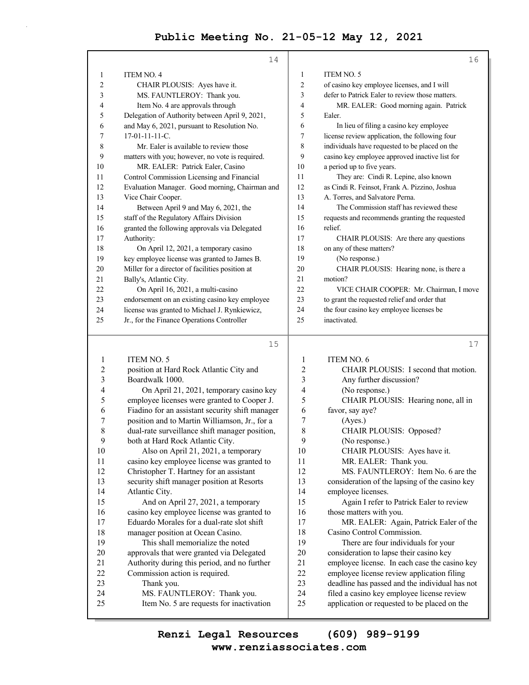| <b>ITEM NO. 4</b><br><b>ITEM NO. 5</b><br>1<br>1<br>of casino key employee licenses, and I will<br>2<br>CHAIR PLOUSIS: Ayes have it.<br>2 |    |
|-------------------------------------------------------------------------------------------------------------------------------------------|----|
|                                                                                                                                           |    |
|                                                                                                                                           |    |
| 3<br>MS. FAUNTLEROY: Thank you.<br>3<br>defer to Patrick Ealer to review those matters.                                                   |    |
| MR. EALER: Good morning again. Patrick<br>Item No. 4 are approvals through<br>4<br>4                                                      |    |
| Delegation of Authority between April 9, 2021,<br>5<br>5<br>Ealer.                                                                        |    |
| and May 6, 2021, pursuant to Resolution No.<br>In lieu of filing a casino key employee<br>6<br>6                                          |    |
| license review application, the following four<br>$17-01-11-11-C$<br>7<br>7                                                               |    |
| 8<br>Mr. Ealer is available to review those<br>8<br>individuals have requested to be placed on the                                        |    |
| casino key employee approved inactive list for<br>9<br>9<br>matters with you; however, no vote is required.                               |    |
| 10<br>MR. EALER: Patrick Ealer, Casino<br>a period up to five years.<br>10                                                                |    |
| Control Commission Licensing and Financial<br>11<br>They are: Cindi R. Lepine, also known<br>11                                           |    |
| Evaluation Manager. Good morning, Chairman and<br>as Cindi R. Feinsot, Frank A. Pizzino, Joshua<br>12<br>12                               |    |
| 13<br>Vice Chair Cooper.<br>13<br>A. Torres, and Salvatore Perna.                                                                         |    |
| 14<br>Between April 9 and May 6, 2021, the<br>The Commission staff has reviewed these<br>14                                               |    |
| staff of the Regulatory Affairs Division<br>15<br>15<br>requests and recommends granting the requested                                    |    |
| granted the following approvals via Delegated<br>16<br>16<br>relief.                                                                      |    |
| 17<br>17<br>Authority:<br>CHAIR PLOUSIS: Are there any questions                                                                          |    |
| on any of these matters?<br>18<br>On April 12, 2021, a temporary casino<br>18                                                             |    |
| key employee license was granted to James B.<br>(No response.)<br>19<br>19                                                                |    |
| Miller for a director of facilities position at<br>20<br>20<br>CHAIR PLOUSIS: Hearing none, is there a                                    |    |
| Bally's, Atlantic City.<br>21<br>motion?<br>21                                                                                            |    |
| 22<br>On April 16, 2021, a multi-casino<br>22<br>VICE CHAIR COOPER: Mr. Chairman, I move                                                  |    |
| 23<br>endorsement on an existing casino key employee<br>23<br>to grant the requested relief and order that                                |    |
| license was granted to Michael J. Rynkiewicz,<br>the four casino key employee licenses be<br>24<br>24                                     |    |
| 25<br>25<br>Jr., for the Finance Operations Controller<br>inactivated.                                                                    |    |
| 15                                                                                                                                        | 17 |

| ۰. |                               |  |
|----|-------------------------------|--|
|    | I<br>$\overline{\phantom{a}}$ |  |

| 1  | <b>ITEM NO. 5</b>                               | 1              | ITEM NO. 6                                     |
|----|-------------------------------------------------|----------------|------------------------------------------------|
| 2  | position at Hard Rock Atlantic City and         | 2              | CHAIR PLOUSIS: I second that motion.           |
| 3  | Boardwalk 1000.                                 | 3              | Any further discussion?                        |
| 4  | On April 21, 2021, temporary casino key         | $\overline{4}$ | (No response.)                                 |
| 5  | employee licenses were granted to Cooper J.     | 5              | CHAIR PLOUSIS: Hearing none, all in            |
| 6  | Fiadino for an assistant security shift manager | 6              | favor, say aye?                                |
| 7  | position and to Martin Williamson, Jr., for a   | 7              | (Ayes.)                                        |
| 8  | dual-rate surveillance shift manager position,  | 8              | CHAIR PLOUSIS: Opposed?                        |
| 9  | both at Hard Rock Atlantic City.                | 9              | (No response.)                                 |
| 10 | Also on April 21, 2021, a temporary             | 10             | CHAIR PLOUSIS: Ayes have it.                   |
| 11 | casino key employee license was granted to      | 11             | MR. EALER: Thank you.                          |
| 12 | Christopher T. Hartney for an assistant         | 12             | MS. FAUNTLEROY: Item No. 6 are the             |
| 13 | security shift manager position at Resorts      | 13             | consideration of the lapsing of the casino key |
| 14 | Atlantic City.                                  | 14             | employee licenses.                             |
| 15 | And on April 27, 2021, a temporary              | 15             | Again I refer to Patrick Ealer to review       |
| 16 | casino key employee license was granted to      | 16             | those matters with you.                        |
| 17 | Eduardo Morales for a dual-rate slot shift      | 17             | MR. EALER: Again, Patrick Ealer of the         |
| 18 | manager position at Ocean Casino.               | 18             | Casino Control Commission.                     |
| 19 | This shall memorialize the noted                | 19             | There are four individuals for your            |
| 20 | approvals that were granted via Delegated       | 20             | consideration to lapse their casino key        |
| 21 | Authority during this period, and no further    | 21             | employee license. In each case the casino key  |
| 22 | Commission action is required.                  | 22             | employee license review application filing     |
| 23 | Thank you.                                      | 23             | deadline has passed and the individual has not |
| 24 | MS. FAUNTLEROY: Thank you.                      | 24             | filed a casino key employee license review     |
| 25 | Item No. 5 are requests for inactivation        | 25             | application or requested to be placed on the   |
|    |                                                 |                |                                                |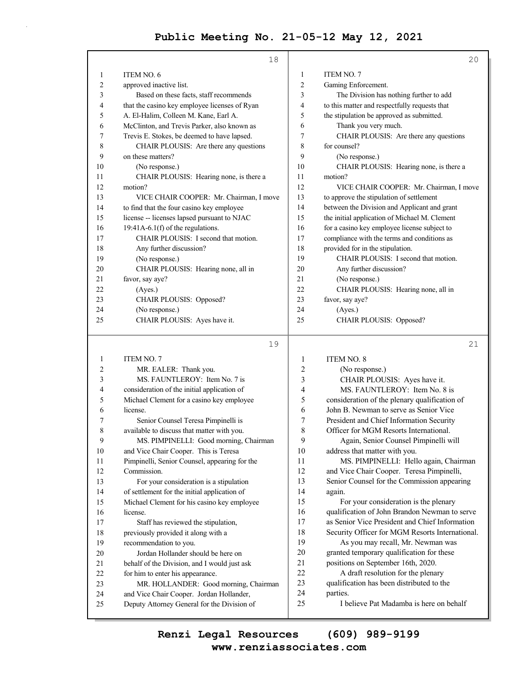|    | 18                                            |                | 20                                            |
|----|-----------------------------------------------|----------------|-----------------------------------------------|
| 1  | ITEM NO. 6                                    | 1              | ITEM NO. 7                                    |
| 2  | approved inactive list.                       | $\overline{2}$ | Gaming Enforcement.                           |
| 3  | Based on these facts, staff recommends        | 3              | The Division has nothing further to add       |
| 4  | that the casino key employee licenses of Ryan | 4              | to this matter and respectfully requests that |
| 5  | A. El-Halim, Colleen M. Kane, Earl A.         | 5              | the stipulation be approved as submitted.     |
| 6  | McClinton, and Trevis Parker, also known as   | 6              | Thank you very much.                          |
| 7  | Trevis E. Stokes, be deemed to have lapsed.   | 7              | CHAIR PLOUSIS: Are there any questions        |
| 8  | CHAIR PLOUSIS: Are there any questions        | 8              | for counsel?                                  |
| 9  | on these matters?                             | 9              | (No response.)                                |
| 10 | (No response.)                                | 10             | CHAIR PLOUSIS: Hearing none, is there a       |
| 11 | CHAIR PLOUSIS: Hearing none, is there a       | 11             | motion?                                       |
| 12 | motion?                                       | 12             | VICE CHAIR COOPER: Mr. Chairman, I move       |
| 13 | VICE CHAIR COOPER: Mr. Chairman, I move       | 13             | to approve the stipulation of settlement      |
| 14 | to find that the four casino key employee     | 14             | between the Division and Applicant and grant  |
| 15 | license -- licenses lapsed pursuant to NJAC   | 15             | the initial application of Michael M. Clement |
| 16 | $19:41A-6.1(f)$ of the regulations.           | 16             | for a casino key employee license subject to  |
| 17 | CHAIR PLOUSIS: I second that motion.          | 17             | compliance with the terms and conditions as   |
| 18 | Any further discussion?                       | 18             | provided for in the stipulation.              |
| 19 | (No response.)                                | 19             | CHAIR PLOUSIS: I second that motion.          |
| 20 | CHAIR PLOUSIS: Hearing none, all in           | 20             | Any further discussion?                       |
| 21 | favor, say aye?                               | 21             | (No response.)                                |
| 22 | (Ayes.)                                       | 22             | CHAIR PLOUSIS: Hearing none, all in           |
| 23 | CHAIR PLOUSIS: Opposed?                       | 23             | favor, say aye?                               |
| 24 | (No response.)                                | 24             | (Ayes.)                                       |
| 25 | CHAIR PLOUSIS: Ayes have it.                  | 25             | CHAIR PLOUSIS: Opposed?                       |
|    | 19                                            |                | 21                                            |
|    | <b>ITEMAIO</b> $7$                            |                | <b>ITEMAIO</b> 0                              |

| 1              | <b>ITEM NO. 7</b>                             | 1  | <b>ITEM NO. 8</b>                               |
|----------------|-----------------------------------------------|----|-------------------------------------------------|
| $\overline{c}$ | MR. EALER: Thank you.                         | 2  | (No response.)                                  |
| 3              | MS. FAUNTLEROY: Item No. 7 is                 | 3  | CHAIR PLOUSIS: Ayes have it.                    |
| 4              | consideration of the initial application of   | 4  | MS. FAUNTLEROY: Item No. 8 is                   |
| 5              | Michael Clement for a casino key employee     | 5  | consideration of the plenary qualification of   |
| 6              | license.                                      | 6  | John B. Newman to serve as Senior Vice          |
| 7              | Senior Counsel Teresa Pimpinelli is           | 7  | President and Chief Information Security        |
| 8              | available to discuss that matter with you.    | 8  | Officer for MGM Resorts International.          |
| 9              | MS. PIMPINELLI: Good morning, Chairman        | 9  | Again, Senior Counsel Pimpinelli will           |
| 10             | and Vice Chair Cooper. This is Teresa         | 10 | address that matter with you.                   |
| 11             | Pimpinelli, Senior Counsel, appearing for the | 11 | MS. PIMPINELLI: Hello again, Chairman           |
| 12             | Commission.                                   | 12 | and Vice Chair Cooper. Teresa Pimpinelli,       |
| 13             | For your consideration is a stipulation       | 13 | Senior Counsel for the Commission appearing     |
| 14             | of settlement for the initial application of  | 14 | again.                                          |
| 15             | Michael Clement for his casino key employee   | 15 | For your consideration is the plenary           |
| 16             | license.                                      | 16 | qualification of John Brandon Newman to serve   |
| 17             | Staff has reviewed the stipulation,           | 17 | as Senior Vice President and Chief Information  |
| 18             | previously provided it along with a           | 18 | Security Officer for MGM Resorts International. |
| 19             | recommendation to you.                        | 19 | As you may recall, Mr. Newman was               |
| 20             | Jordan Hollander should be here on            | 20 | granted temporary qualification for these       |
| 21             | behalf of the Division, and I would just ask  | 21 | positions on September 16th, 2020.              |
| 22             | for him to enter his appearance.              | 22 | A draft resolution for the plenary              |
| 23             | MR. HOLLANDER: Good morning, Chairman         | 23 | qualification has been distributed to the       |
| 24             | and Vice Chair Cooper. Jordan Hollander,      | 24 | parties.                                        |
| 25             | Deputy Attorney General for the Division of   | 25 | I believe Pat Madamba is here on behalf         |
|                |                                               |    |                                                 |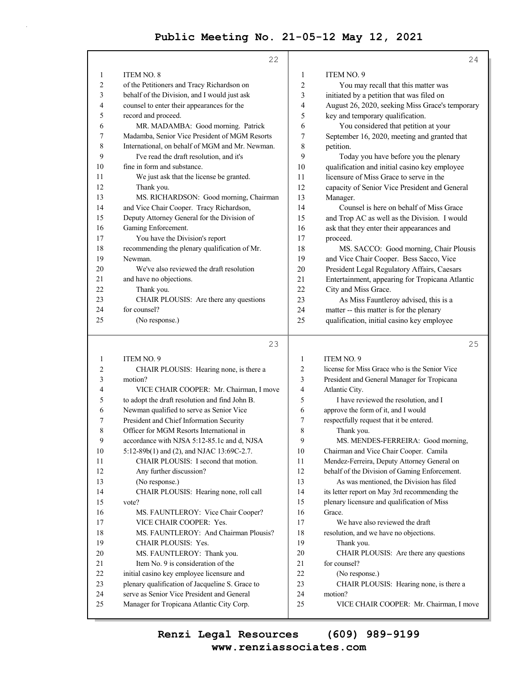|    | 22                                              |                  | 24                                              |
|----|-------------------------------------------------|------------------|-------------------------------------------------|
|    |                                                 |                  |                                                 |
| 1  | <b>ITEM NO. 8</b>                               | $\mathbf{1}$     | ITEM NO. 9                                      |
| 2  | of the Petitioners and Tracy Richardson on      | 2                | You may recall that this matter was             |
| 3  | behalf of the Division, and I would just ask    | 3                | initiated by a petition that was filed on       |
| 4  | counsel to enter their appearances for the      | 4                | August 26, 2020, seeking Miss Grace's temporary |
| 5  | record and proceed.                             | 5                | key and temporary qualification.                |
| 6  | MR. MADAMBA: Good morning. Patrick              | 6                | You considered that petition at your            |
| 7  | Madamba, Senior Vice President of MGM Resorts   | 7                | September 16, 2020, meeting and granted that    |
| 8  | International, on behalf of MGM and Mr. Newman. | 8                | petition.                                       |
| 9  | I've read the draft resolution, and it's        | 9                | Today you have before you the plenary           |
| 10 | fine in form and substance.                     | 10               | qualification and initial casino key employee   |
| 11 | We just ask that the license be granted.        | 11               | licensure of Miss Grace to serve in the         |
| 12 | Thank you.                                      | 12               | capacity of Senior Vice President and General   |
| 13 | MS. RICHARDSON: Good morning, Chairman          | 13               | Manager.                                        |
| 14 | and Vice Chair Cooper. Tracy Richardson,        | 14               | Counsel is here on behalf of Miss Grace         |
| 15 | Deputy Attorney General for the Division of     | 15               | and Trop AC as well as the Division. I would    |
| 16 | Gaming Enforcement.                             | 16               | ask that they enter their appearances and       |
| 17 | You have the Division's report                  | 17               | proceed.                                        |
| 18 | recommending the plenary qualification of Mr.   | 18               | MS. SACCO: Good morning, Chair Plousis          |
| 19 | Newman.                                         | 19               | and Vice Chair Cooper. Bess Sacco, Vice         |
| 20 | We've also reviewed the draft resolution        | 20               | President Legal Regulatory Affairs, Caesars     |
| 21 | and have no objections.                         | 21               | Entertainment, appearing for Tropicana Atlantic |
| 22 | Thank you.                                      | 22               | City and Miss Grace.                            |
| 23 | CHAIR PLOUSIS: Are there any questions          | 23               | As Miss Fauntleroy advised, this is a           |
| 24 | for counsel?                                    | 24               | matter -- this matter is for the plenary        |
| 25 | (No response.)                                  | 25               | qualification, initial casino key employee      |
|    |                                                 |                  |                                                 |
|    | 23                                              |                  | 25                                              |
| 1  | ITEM NO. 9                                      | 1                | ITEM NO. 9                                      |
| 2  | CHAIR PLOUSIS: Hearing none, is there a         | 2                | license for Miss Grace who is the Senior Vice   |
| 3  | motion?                                         | 3                | President and General Manager for Tropicana     |
| 4  | VICE CHAIR COOPER: Mr. Chairman, I move         | 4                | Atlantic City.                                  |
| 5  | to adopt the draft resolution and find John B.  | 5                | I have reviewed the resolution, and I           |
| 6  | Newman qualified to serve as Senior Vice        | 6                | approve the form of it, and I would             |
| 7  | President and Chief Information Security        | 7                | respectfully request that it be entered.        |
| 8  | Officer for MGM Resorts International in        | 8                | Thank you.                                      |
| 9  | accordance with NJSA 5:12-85.1c and d, NJSA     | $\boldsymbol{9}$ | MS. MENDES-FERREIRA: Good morning,              |
| 10 | 5:12-89b(1) and (2), and NJAC 13:69C-2.7.       | 10               | Chairman and Vice Chair Cooper. Camila          |
| 11 | CHAIR PLOUSIS: I second that motion.            | 11               | Mendez-Ferreira, Deputy Attorney General on     |
| 12 | Any further discussion?                         | 12               | behalf of the Division of Gaming Enforcement.   |
| 13 | (No response.)                                  | 13               | As was mentioned, the Division has filed        |
| 14 | CHAIR PLOUSIS: Hearing none, roll call          | 14               | its letter report on May 3rd recommending the   |
| 15 | vote?                                           | 15               | plenary licensure and qualification of Miss     |
| 16 | MS. FAUNTLEROY: Vice Chair Cooper?              | 16               | Grace.                                          |
| 17 | VICE CHAIR COOPER: Yes.                         | 17               | We have also reviewed the draft                 |
| 18 | MS. FAUNTLEROY: And Chairman Plousis?           | 18               | resolution, and we have no objections.          |
| 19 | CHAIR PLOUSIS: Yes.                             | 19               | Thank you.                                      |
| 20 | MS. FAUNTLEROY: Thank you.                      | $20\,$           | CHAIR PLOUSIS: Are there any questions          |
| 21 | Item No. 9 is consideration of the              | 21               | for counsel?                                    |
| 22 | initial casino key employee licensure and       | 22               | (No response.)                                  |
| 23 | plenary qualification of Jacqueline S. Grace to | 23               | CHAIR PLOUSIS: Hearing none, is there a         |

25 VICE CHAIR COOPER: Mr. Chairman, I move

25 Manager for Tropicana Atlantic City Corp.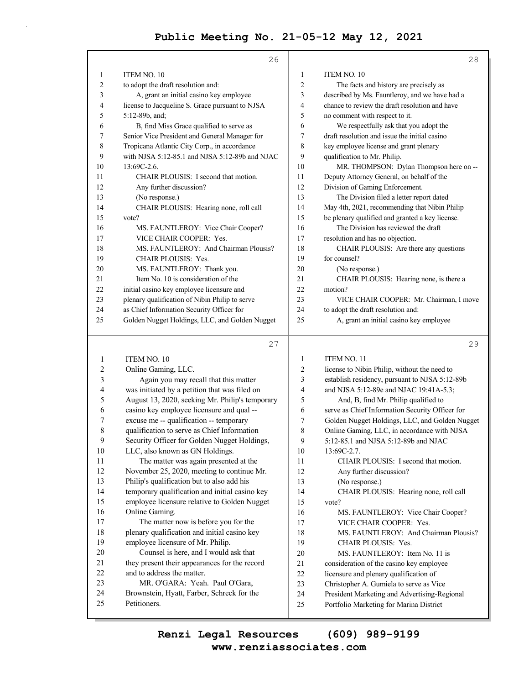|                | 26                                              |                | 28                                              |
|----------------|-------------------------------------------------|----------------|-------------------------------------------------|
| 1              | ITEM NO. 10                                     | 1              | ITEM NO. 10                                     |
| 2              | to adopt the draft resolution and:              | $\overline{c}$ | The facts and history are precisely as          |
| 3              | A, grant an initial casino key employee         | 3              | described by Ms. Fauntleroy, and we have had a  |
| 4              | license to Jacqueline S. Grace pursuant to NJSA | 4              | chance to review the draft resolution and have  |
| 5              | 5:12-89b, and;                                  | 5              | no comment with respect to it.                  |
| 6              | B, find Miss Grace qualified to serve as        | 6              | We respectfully ask that you adopt the          |
| 7              | Senior Vice President and General Manager for   | 7              | draft resolution and issue the initial casino   |
| 8              | Tropicana Atlantic City Corp., in accordance    | 8              | key employee license and grant plenary          |
| 9              | with NJSA 5:12-85.1 and NJSA 5:12-89b and NJAC  | 9              | qualification to Mr. Philip.                    |
| 10             | 13:69C-2.6.                                     | 10             | MR. THOMPSON: Dylan Thompson here on --         |
| 11             | CHAIR PLOUSIS: I second that motion.            | 11             | Deputy Attorney General, on behalf of the       |
| 12             | Any further discussion?                         | 12             | Division of Gaming Enforcement.                 |
| 13             | (No response.)                                  | 13             | The Division filed a letter report dated        |
| 14             | CHAIR PLOUSIS: Hearing none, roll call          | 14             | May 4th, 2021, recommending that Nibin Philip   |
| 15             | vote?                                           | 15             | be plenary qualified and granted a key license. |
| 16             | MS. FAUNTLEROY: Vice Chair Cooper?              | 16             | The Division has reviewed the draft             |
| 17             | VICE CHAIR COOPER: Yes.                         | 17             | resolution and has no objection.                |
| 18             | MS. FAUNTLEROY: And Chairman Plousis?           | 18             | CHAIR PLOUSIS: Are there any questions          |
| 19             | <b>CHAIR PLOUSIS: Yes.</b>                      | 19             | for counsel?                                    |
| 20             | MS. FAUNTLEROY: Thank you.                      | 20             | (No response.)                                  |
| 21             | Item No. 10 is consideration of the             | 21             | CHAIR PLOUSIS: Hearing none, is there a         |
| 22             | initial casino key employee licensure and       | 22             | motion?                                         |
| 23             | plenary qualification of Nibin Philip to serve  | 23             | VICE CHAIR COOPER: Mr. Chairman, I move         |
| 24             | as Chief Information Security Officer for       | 24             | to adopt the draft resolution and:              |
| 25             | Golden Nugget Holdings, LLC, and Golden Nugget  | 25             | A, grant an initial casino key employee         |
|                | 27                                              |                | 29                                              |
| 1              | ITEM NO. 10                                     | $\mathbf{1}$   | <b>ITEM NO. 11</b>                              |
| $\overline{c}$ | Online Gaming, LLC.                             | 2              | license to Nibin Philip, without the need to    |
| 3              | Again you may recall that this matter           | 3              | establish residency, pursuant to NJSA 5:12-89b  |
| 4              | was initiated by a petition that was filed on   | 4              | and NJSA 5:12-89e and NJAC 19:41A-5.3;          |
| 5              | August 13, 2020, seeking Mr. Philip's temporary | 5              | And, B, find Mr. Philip qualified to            |
| 6              | casino key employee licensure and qual --       | 6              | serve as Chief Information Security Officer for |
| 7              | excuse me -- qualification -- temporary         | 7              | Golden Nugget Holdings, LLC, and Golden Nugget  |
| 8              | qualification to serve as Chief Information     | 8              | Online Gaming, LLC, in accordance with NJSA     |
| 9              | Security Officer for Golden Nugget Holdings,    | 9              | 5:12-85.1 and NJSA 5:12-89b and NJAC            |
| 10             | LLC, also known as GN Holdings.                 | 10             | $13:69C-2.7$ .                                  |
| 11             | The matter was again presented at the           | 11             | CHAIR PLOUSIS: I second that motion.            |
| 12             | November 25, 2020, meeting to continue Mr.      | 12             | Any further discussion?                         |

13 Philip's qualification but to also add his

14 temporary qualification and initial casino key 15 employee licensure relative to Golden Nugget 16 Online Gaming. 17 The matter now is before you for the 18 plenary qualification and initial casino key 19 employee licensure of Mr. Philip.

20 Counsel is here, and I would ask that 21 they present their appearances for the record 22 and to address the matter. 23 MR. O'GARA: Yeah. Paul O'Gara, 24 Brownstein, Hyatt, Farber, Schreck for the 25 Petitioners.

- 
- 13 (No response.)

14 CHAIR PLOUSIS: Hearing none, roll call 15 vote?

- 16 MS. FAUNTLEROY: Vice Chair Cooper? 17 VICE CHAIR COOPER: Yes.
- 18 MS. FAUNTLEROY: And Chairman Plousis?
- 19 CHAIR PLOUSIS: Yes.
	-
- 20 MS. FAUNTLEROY: Item No. 11 is
- 21 consideration of the casino key employee
- 22 licensure and plenary qualification of
- 23 Christopher A. Gumiela to serve as Vice
- 24 President Marketing and Advertising-Regional
- 25 Portfolio Marketing for Marina District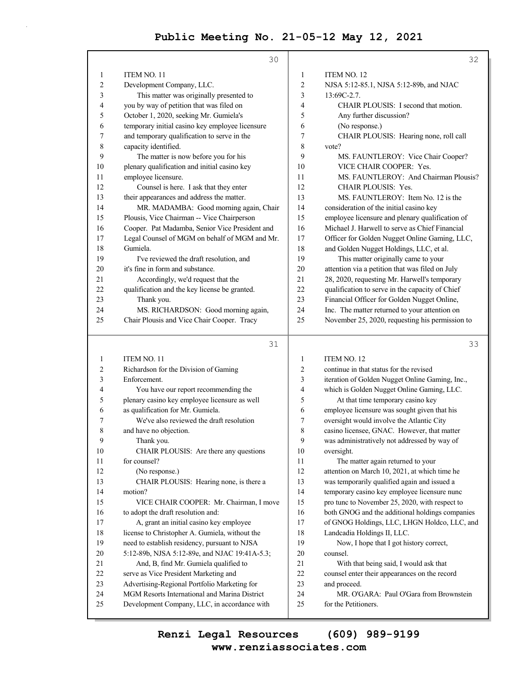|     | 30                                              |     | 32                                              |
|-----|-------------------------------------------------|-----|-------------------------------------------------|
| 1   | <b>ITEM NO. 11</b>                              | 1   | <b>ITEM NO. 12</b>                              |
| 2   | Development Company, LLC.                       | 2   | NJSA 5:12-85.1, NJSA 5:12-89b, and NJAC         |
| 3   | This matter was originally presented to         | 3   | $13:69C-2.7$ .                                  |
| 4   | you by way of petition that was filed on        | 4   | CHAIR PLOUSIS: I second that motion.            |
| 5   | October 1, 2020, seeking Mr. Gumiela's          | 5   | Any further discussion?                         |
| 6   | temporary initial casino key employee licensure | 6   | (No response.)                                  |
| 7   | and temporary qualification to serve in the     | 7   | CHAIR PLOUSIS: Hearing none, roll call          |
| 8   | capacity identified.                            | 8   | vote?                                           |
| 9   | The matter is now before you for his            | 9   | MS. FAUNTLEROY: Vice Chair Cooper?              |
| 10  | plenary qualification and initial casino key    | 10  | VICE CHAIR COOPER: Yes.                         |
| 11  | employee licensure.                             | 11  | MS. FAUNTLEROY: And Chairman Plousis?           |
| 12  | Counsel is here. I ask that they enter          | 12  | <b>CHAIR PLOUSIS: Yes.</b>                      |
| 13  | their appearances and address the matter.       | 13  | MS. FAUNTLEROY: Item No. 12 is the              |
| 14  | MR. MADAMBA: Good morning again, Chair          | 14  | consideration of the initial casino key         |
| 15  | Plousis, Vice Chairman -- Vice Chairperson      | 15  | employee licensure and plenary qualification of |
| 16  | Cooper. Pat Madamba, Senior Vice President and  | 16  | Michael J. Harwell to serve as Chief Financial  |
| 17  | Legal Counsel of MGM on behalf of MGM and Mr.   | 17  | Officer for Golden Nugget Online Gaming, LLC,   |
| 18  | Gumiela.                                        | 18  | and Golden Nugget Holdings, LLC, et al.         |
| 19  | I've reviewed the draft resolution, and         | 19  | This matter originally came to your             |
| 20  | it's fine in form and substance.                | 20  | attention via a petition that was filed on July |
| 2.1 | Accordingly, we'd request that the              | 2.1 | 28, 2020, requesting Mr. Harwell's temporary    |
| 22  | qualification and the key license be granted.   | 22  | qualification to serve in the capacity of Chief |
| 23  | Thank you.                                      | 23  | Financial Officer for Golden Nugget Online,     |
| 24  | MS. RICHARDSON: Good morning again,             | 24  | Inc. The matter returned to your attention on   |
| 25  | Chair Plousis and Vice Chair Cooper. Tracy      | 25  | November 25, 2020, requesting his permission to |

# 31

33

| $\mathbf{1}$   | <b>ITEM NO. 11</b>                             | $\mathbf{1}$   | <b>ITEM NO. 12</b>                              |
|----------------|------------------------------------------------|----------------|-------------------------------------------------|
| 2              | Richardson for the Division of Gaming          | 2              | continue in that status for the revised         |
| 3              | Enforcement.                                   | 3              | iteration of Golden Nugget Online Gaming, Inc., |
| $\overline{4}$ | You have our report recommending the           | $\overline{4}$ | which is Golden Nugget Online Gaming, LLC.      |
| 5              | plenary casino key employee licensure as well  | 5              | At that time temporary casino key               |
| 6              | as qualification for Mr. Gumiela.              | 6              | employee licensure was sought given that his    |
| 7              | We've also reviewed the draft resolution       | 7              | oversight would involve the Atlantic City       |
| 8              | and have no objection.                         | 8              | casino licensee, GNAC. However, that matter     |
| 9              | Thank you.                                     | 9              | was administratively not addressed by way of    |
| 10             | CHAIR PLOUSIS: Are there any questions         | 10             | oversight.                                      |
| 11             | for counsel?                                   | 11             | The matter again returned to your               |
| 12             | (No response.)                                 | 12             | attention on March 10, 2021, at which time he   |
| 13             | CHAIR PLOUSIS: Hearing none, is there a        | 13             | was temporarily qualified again and issued a    |
| 14             | motion?                                        | 14             | temporary casino key employee licensure nunc    |
| 15             | VICE CHAIR COOPER: Mr. Chairman, I move        | 15             | pro tunc to November 25, 2020, with respect to  |
| 16             | to adopt the draft resolution and:             | 16             | both GNOG and the additional holdings companies |
| 17             | A, grant an initial casino key employee        | 17             | of GNOG Holdings, LLC, LHGN Holdco, LLC, and    |
| 18             | license to Christopher A. Gumiela, without the | 18             | Landcadia Holdings II, LLC.                     |
| 19             | need to establish residency, pursuant to NJSA  | 19             | Now, I hope that I got history correct,         |
| 20             | 5:12-89b, NJSA 5:12-89e, and NJAC 19:41A-5.3;  | 20             | counsel.                                        |
| 21             | And, B, find Mr. Gumiela qualified to          | 21             | With that being said, I would ask that          |
| 22             | serve as Vice President Marketing and          | 22             | counsel enter their appearances on the record   |
| 23             | Advertising-Regional Portfolio Marketing for   | 23             | and proceed.                                    |
| 24             | MGM Resorts International and Marina District  | 24             | MR. O'GARA: Paul O'Gara from Brownstein         |
| 25             | Development Company, LLC, in accordance with   | 25             | for the Petitioners.                            |
|                |                                                |                |                                                 |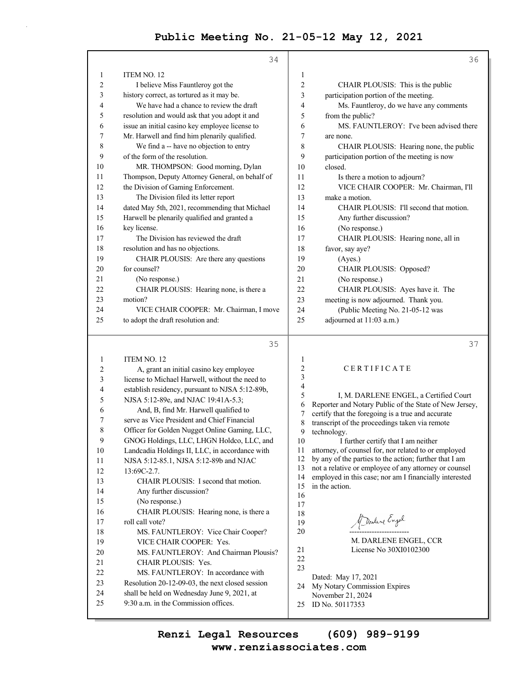|          | 34                                                                                  |                          | 36                                                                                                  |
|----------|-------------------------------------------------------------------------------------|--------------------------|-----------------------------------------------------------------------------------------------------|
| 1        | ITEM NO. 12                                                                         | $\mathbf{1}$             |                                                                                                     |
| 2        | I believe Miss Fauntleroy got the                                                   | $\overline{c}$           | CHAIR PLOUSIS: This is the public                                                                   |
| 3        | history correct, as tortured as it may be.                                          | 3                        | participation portion of the meeting.                                                               |
| 4        | We have had a chance to review the draft                                            | 4                        | Ms. Fauntleroy, do we have any comments                                                             |
| 5        | resolution and would ask that you adopt it and                                      | 5                        | from the public?                                                                                    |
| 6        | issue an initial casino key employee license to                                     | 6                        | MS. FAUNTLEROY: I've been advised there                                                             |
| 7        | Mr. Harwell and find him plenarily qualified.                                       | 7                        | are none.                                                                                           |
| 8        | We find a -- have no objection to entry                                             | 8                        | CHAIR PLOUSIS: Hearing none, the public                                                             |
| 9        | of the form of the resolution.                                                      | 9                        | participation portion of the meeting is now                                                         |
| 10       | MR. THOMPSON: Good morning, Dylan                                                   | 10                       | closed.                                                                                             |
| 11       | Thompson, Deputy Attorney General, on behalf of                                     | 11                       | Is there a motion to adjourn?                                                                       |
| 12       | the Division of Gaming Enforcement.                                                 | 12                       | VICE CHAIR COOPER: Mr. Chairman, I'll                                                               |
| 13       | The Division filed its letter report                                                | 13                       | make a motion.                                                                                      |
| 14       | dated May 5th, 2021, recommending that Michael                                      | 14                       | CHAIR PLOUSIS: I'll second that motion.                                                             |
| 15       | Harwell be plenarily qualified and granted a                                        | 15                       | Any further discussion?                                                                             |
| 16       | key license.                                                                        | 16                       | (No response.)                                                                                      |
| 17       | The Division has reviewed the draft                                                 | 17                       | CHAIR PLOUSIS: Hearing none, all in                                                                 |
| 18       | resolution and has no objections.                                                   | 18                       | favor, say aye?                                                                                     |
| 19       | CHAIR PLOUSIS: Are there any questions                                              | 19                       | (Ayes.)                                                                                             |
| 20       | for counsel?                                                                        | 20                       | CHAIR PLOUSIS: Opposed?                                                                             |
| 21       | (No response.)                                                                      | 21                       | (No response.)                                                                                      |
| 22       | CHAIR PLOUSIS: Hearing none, is there a                                             | 22                       | CHAIR PLOUSIS: Ayes have it. The                                                                    |
| 23       | motion?                                                                             | 23                       | meeting is now adjourned. Thank you.                                                                |
| 24       | VICE CHAIR COOPER: Mr. Chairman, I move                                             | 24                       | (Public Meeting No. 21-05-12 was                                                                    |
| 25       | to adopt the draft resolution and:                                                  | 25                       | adjourned at 11:03 a.m.)                                                                            |
|          |                                                                                     |                          |                                                                                                     |
|          |                                                                                     |                          |                                                                                                     |
|          | 35                                                                                  |                          | 37                                                                                                  |
| 1        | ITEM NO. 12                                                                         | $\mathbf{1}$             |                                                                                                     |
| 2        | A, grant an initial casino key employee                                             | $\sqrt{2}$               | CERTIFICATE                                                                                         |
| 3        | license to Michael Harwell, without the need to                                     | 3                        |                                                                                                     |
| 4        | establish residency, pursuant to NJSA 5:12-89b,                                     | $\overline{\mathcal{A}}$ |                                                                                                     |
| 5        | NJSA 5:12-89e, and NJAC 19:41A-5.3;                                                 | 5                        | I, M. DARLENE ENGEL, a Certified Court                                                              |
| 6        | And, B, find Mr. Harwell qualified to                                               | 6                        | Reporter and Notary Public of the State of New Jersey,                                              |
| 7        | serve as Vice President and Chief Financial                                         | 7<br>8                   | certify that the foregoing is a true and accurate<br>transcript of the proceedings taken via remote |
| 8        | Officer for Golden Nugget Online Gaming, LLC,                                       | 9                        | technology.                                                                                         |
| 9        | GNOG Holdings, LLC, LHGN Holdco, LLC, and                                           | $10\,$                   | I further certify that I am neither                                                                 |
| 10       | Landcadia Holdings II, LLC, in accordance with                                      | 11                       | attorney, of counsel for, nor related to or employed                                                |
| 11       | NJSA 5:12-85.1, NJSA 5:12-89b and NJAC                                              | 12                       | by any of the parties to the action; further that I am                                              |
| 12       | 13:69C-2.7.                                                                         | 13                       | not a relative or employee of any attorney or counsel                                               |
| 13       | CHAIR PLOUSIS: I second that motion.                                                | 14                       | employed in this case; nor am I financially interested<br>in the action.                            |
| 14       | Any further discussion?                                                             | 15<br>16                 |                                                                                                     |
| 15       | (No response.)                                                                      | 17                       |                                                                                                     |
| 16       | CHAIR PLOUSIS: Hearing none, is there a                                             | 18                       |                                                                                                     |
| 17       | roll call vote?                                                                     | 19                       | Marline Engel                                                                                       |
| 18       | MS. FAUNTLEROY: Vice Chair Cooper?                                                  | 20                       |                                                                                                     |
| 19       | VICE CHAIR COOPER: Yes.                                                             |                          | M. DARLENE ENGEL, CCR                                                                               |
| 20       | MS. FAUNTLEROY: And Chairman Plousis?                                               | 21                       | License No 30XI0102300                                                                              |
| 21       | CHAIR PLOUSIS: Yes.                                                                 | $22\,$<br>23             |                                                                                                     |
| 22       | MS. FAUNTLEROY: In accordance with                                                  |                          | Dated: May 17, 2021                                                                                 |
| 23       | Resolution 20-12-09-03, the next closed session                                     | 24                       | My Notary Commission Expires                                                                        |
| 24<br>25 | shall be held on Wednesday June 9, 2021, at<br>9:30 a.m. in the Commission offices. | 25                       | November 21, 2024<br>ID No. 50117353                                                                |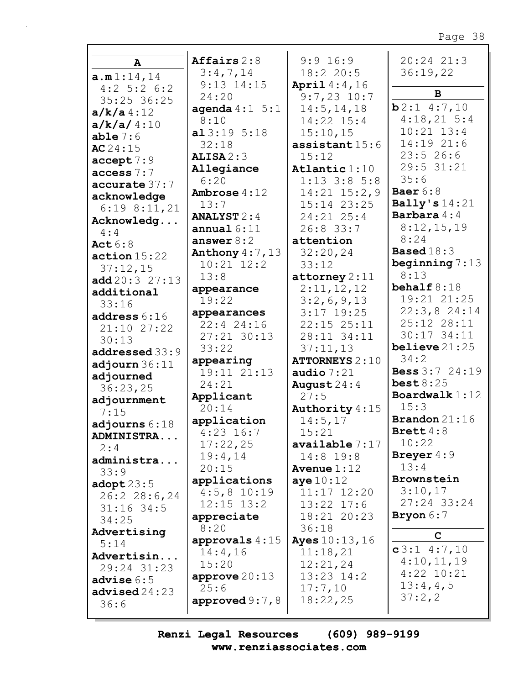| A                                    | Affairs $2:8$             | 9:9 16:9                   | $20:24$ $21:3$               |
|--------------------------------------|---------------------------|----------------------------|------------------------------|
|                                      | 3:4,7,14                  | 18:220:5                   | 36:19,22                     |
| a.m1:14,14<br>$4:2$ 5:2 6:2          | $9:13$ $14:15$            | <b>April</b> $4:4,16$      |                              |
| 35:25 36:25                          | 24:20                     | $9:7,23$ 10:7              | B                            |
| $a/k/a$ 4:12                         | agenda $4:1 \quad 5:1$    | 14:5, 14, 18               | b2:14:7,10                   |
| a/k/a/4:10                           | 8:10                      | 14:22 15:4                 | 4:18,215:4                   |
| able 7:6                             | a13:195:18                | 15:10,15                   | $10:21$ $13:4$               |
| AC24:15                              | 32:18                     | assistant $15:6$           | 14:19 21:6                   |
| accept 7:9                           | ALISA2:3                  | 15:12                      | 23:526:6                     |
| access 7:7                           | Allegiance                | Atlantic $1:10$            | 29:5 31:21                   |
| accurate 37:7                        | 6:20                      | $1:13$ 3:8 5:8             | 35:6                         |
| acknowledge                          | <b>Ambrose</b> $4:12$     | $14:21$ $15:2,9$           | Baer $6:8$                   |
| $6:19$ $8:11,21$                     | 13:7                      | 15:14 23:25                | Bally's $14:21$              |
| Acknowledg                           | <b>ANALYST</b> $2:4$      | $24:21$ $25:4$             | <b>Barbara</b> 4:4           |
| 4:4                                  | annual $6:11$             | $26:8$ 33:7                | 8:12,15,19                   |
| <b>Act</b> 6:8                       | answer $8:2$              | attention                  | 8:24                         |
| action 15:22                         | Anthony $4:7,13$          | 32:20,24                   | <b>Based</b> 18:3            |
| 37:12,15                             | $10:21$ $12:2$            | 33:12                      | beginning $7:13$             |
| add20:327:13                         | 13:8                      | $\texttt{attorney} 2:11$   | 8:13                         |
| additional                           | appearance                | 2:11,12,12                 | behalf $8:18$<br>19:21 21:25 |
| 33:16                                | 19:22                     | 3:2,6,9,13                 | $22:3,8$ 24:14               |
| address 6:16                         | appearances               | $3:17$ 19:25               | 25:12 28:11                  |
| 21:10 27:22                          | 22:4 24:16<br>27:21 30:13 | 22:15 25:11<br>28:11 34:11 | 30:17 34:11                  |
| 30:13                                | 33:22                     | 37:11,13                   | believe $21:25$              |
| addressed 33:9                       | appearing                 | <b>ATTORNEYS 2:10</b>      | 34:2                         |
| adjourn $36:11$                      | 19:11 21:13               | audio $7:21$               | <b>Bess</b> 3:7 24:19        |
| adjourned                            | 24:21                     | August $24:4$              | best8:25                     |
| 36:23,25                             | Applicant                 | 27:5                       | Boardwalk $1:12$             |
| adjournment                          | 20:14                     | Authority 4:15             | 15:3                         |
| 7:15                                 | application               | 14:5,17                    | <b>Brandon</b> $21:16$       |
| adjourns $6:18$<br><b>ADMINISTRA</b> | $4:23$ 16:7               | 15:21                      | Brett $4:8$                  |
| 2:4                                  | 17:22,25                  | available 7:17             | 10:22                        |
| administra                           | 19:4,14                   | $14:8$ 19:8                | Breyer $4:9$                 |
| 33:9                                 | 20:15                     | Avenue $1:12$              | 13:4                         |
| $\texttt{adopt23:5}$                 | applications              | aye10:12                   | Brownstein                   |
| 26:228:6,24                          | $4:5,8$ 10:19             | $11:17$ $12:20$            | 3:10,17                      |
| $31:16$ 34:5                         | $12:15$ $13:2$            | $13:22$ $17:6$             | 27:24 33:24                  |
| 34:25                                | appreciate                | 18:21 20:23                | Bryon $6:7$                  |
| Advertising                          | 8:20                      | 36:18                      | $\mathbf C$                  |
| 5:14                                 | approvals $4:15$          | <b>Ayes</b> $10:13, 16$    |                              |
| Advertisin                           | 14:4,16                   | 11:18,21                   | $c3:1$ 4:7,10                |
| 29:24 31:23                          | 15:20                     | 12:21,24                   | 4:10,11,19<br>$4:22$ 10:21   |
| advise $6:5$                         | approve $20:13$           | 13:23 14:2                 | 13:4,4,5                     |
| advised $24:23$                      | 25:6                      | 17:7,10                    | 37:2,2                       |
| 36:6                                 | approved $9:7$ , $8$      | 18:22,25                   |                              |
|                                      |                           |                            |                              |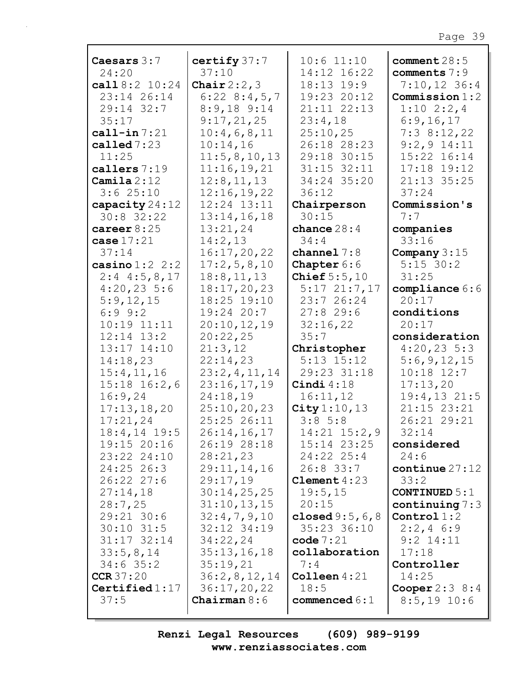| Caesars $3:7$                     | certify 37:7                  | $10:6$ $11:10$                  | comment $28:5$                    |
|-----------------------------------|-------------------------------|---------------------------------|-----------------------------------|
| 24:20                             | 37:10                         | 14:12 16:22                     | comments $7:9$                    |
| call $8:2$ $10:24$                | Chair $2:2,3$                 | $18:13$ $19:9$                  | $7:10,12$ 36:4                    |
| 23:14 26:14                       | $6:22$ $8:4,5,7$              | 19:23 20:12                     | Commission 1:2                    |
| 29:14 32:7                        | $8:9,18$ $9:14$               | 21:11 22:13                     | $1:10 \t2:2,4$                    |
| 35:17                             | 9:17,21,25                    | 23:4,18                         | 6:9,16,17                         |
| call-in $7:21$                    | 10:4,6,8,11                   | 25:10,25                        | 7:38:12,22                        |
| called $7:23$                     | 10:14,16                      | 26:18 28:23                     | $9:2,9$ 14:11                     |
| 11:25                             | 11:5,8,10,13                  | 29:18 30:15                     | 15:22 16:14                       |
| callers 7:19                      | 11:16,19,21                   | $31:15$ $32:11$                 | 17:18 19:12                       |
| Camila $2:12$                     | 12:8, 11, 13                  | 34:24 35:20                     | 21:13 35:25                       |
| 3:625:10                          | 12:16,19,22                   | 36:12                           | 37:24                             |
| capacity $24:12$                  | 12:24 13:11                   | Chairperson                     | Commission's                      |
| $30:8$ 32:22                      | 13:14,16,18                   | 30:15                           | 7:7                               |
| career $8:25$                     | 13:21,24                      | chance $28:4$                   | companies                         |
| case $17:21$                      | 14:2,13                       | 34:4                            | 33:16                             |
| 37:14                             | 16:17,20,22                   | channel $7:8$                   | Company $3:15$                    |
| casino $1:2$ 2:2                  | 17:2,5,8,10                   | Chapter 6:6                     | $5:15$ 30:2                       |
| $2:4$ 4:5,8,17                    | 18:8, 11, 13                  | Chief $5:5,10$                  | 31:25                             |
| $4:20,23$ 5:6                     | 18:17,20,23                   | $5:17$ $21:7,17$                | compliance $6:6$                  |
| 5:9,12,15                         | 18:25 19:10                   | 23:726:24                       | 20:17                             |
| $6:9$ $9:2$                       | $19:24$ 20:7                  | 27:829:6                        | conditions                        |
| $10:19$ $11:11$                   | 20:10, 12, 19                 | 32:16,22                        | 20:17                             |
| $12:14$ $13:2$                    | 20:22,25                      | 35:7                            | consideration                     |
| 13:17 14:10                       | 21:3,12                       | Christopher                     | $4:20,23$ 5:3                     |
| 14:18,23                          | 22:14,23                      | $5:13$ $15:12$                  | 5:6,9,12,15                       |
| 15:4,11,16                        | 23:2,4,11,14                  | 29:23 31:18                     | $10:18$ $12:7$                    |
| $15:18$ $16:2,6$                  | 23:16,17,19                   | Cindi $4:18$                    | 17:13,20                          |
| 16:9,24                           | 24:18,19                      | 16:11,12                        | $19:4, 13$ 21:5                   |
| 17:13,18,20                       | 25:10, 20, 23                 | City $1:10, 13$                 | 21:15 23:21                       |
| 17:21,24                          | 25:25 26:11                   | $3:8$ 5:8                       | 26:21 29:21                       |
| 18:4,14 19:5                      | 26:14, 16, 17                 | $14:21$ $15:2,9$                | 32:14                             |
| 19:15 20:16                       | 26:19 28:18                   | $15:14$ $23:25$                 | considered                        |
| 23:22 24:10                       | 28:21,23                      | $24:22$ $25:4$                  | 24:6                              |
| $24:25$ 26:3                      | 29:11,14,16                   | $26:8$ 33:7                     | $\text{continue } 27:12$          |
| 26:22 27:6                        | 29:17,19                      | Clement $4:23$                  | 33:2                              |
| 27:14,18                          | 30:14,25,25                   | 19:5,15                         | CONTINUED $5:1$                   |
|                                   |                               |                                 |                                   |
| 28:7,25                           | 31:10, 13, 15                 | 20:15                           | continuing $7:3$<br>Control $1:2$ |
| 29:21 30:6                        | 32:4,7,9,10                   | closed $9:5,6,8$<br>35:23 36:10 |                                   |
| $30:10$ $31:5$<br>$31:17$ $32:14$ | 32:12 34:19<br>34:22,24       | code $7:21$                     | $2:2,4$ 6:9<br>$9:2$ 14:11        |
|                                   |                               |                                 |                                   |
| 33:5,8,14                         | 35:13,16,18                   | collaboration<br>7:4            | 17:18                             |
| $34:6$ 35:2                       | 35:19,21                      |                                 | Controller                        |
| CCR37:20                          | 36:2,8,12,14                  | Colleen $4:21$<br>18:5          | 14:25                             |
| Certified $1:17$<br>37:5          | 36:17,20,22<br>Chairman $8:6$ | commenced $6:1$                 | Cooper $2:3$ 8:4<br>$8:5,19$ 10:6 |
|                                   |                               |                                 |                                   |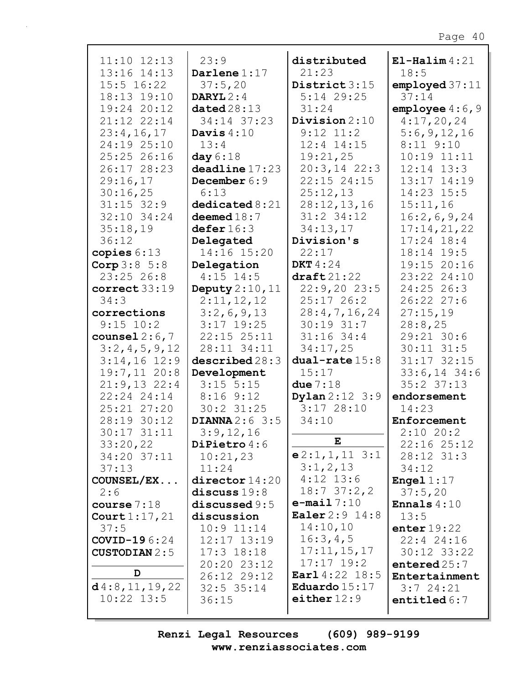| $11:10$ $12:13$        | 23:9                           | distributed               | $E1$ -Halim $4:21$   |
|------------------------|--------------------------------|---------------------------|----------------------|
| 13:16 14:13            | Darlene $1:17$                 | 21:23                     | 18:5                 |
| $15:5$ $16:22$         | 37:5,20                        | District 3:15             | employd 37:11        |
| 18:13 19:10            | DARYL $2:4$                    | $5:14$ 29:25              | 37:14                |
| 19:24 20:12            | data28:13                      | 31:24                     | employee $4:6,9$     |
| 21:12 22:14            | 34:14 37:23                    | Division $2:10$           | 4:17,20,24           |
| 23:4,16,17             | Davis $4:10$                   | $9:12$ $11:2$             | 5:6,9,12,16          |
| 24:19 25:10            | 13:4                           | $12:4$ $14:15$            | $8:11$ $9:10$        |
| 25:25 26:16            | day $6:18$                     | 19:21,25                  | $10:19$ $11:11$      |
| 26:17 28:23            | deadline 17:23                 | $20:3, 14$ 22:3           | $12:14$ $13:3$       |
| 29:16,17               | December 6:9                   | 22:15 24:15               | 13:17 14:19          |
| 30:16,25               | 6:13                           | 25:12,13                  | 14:23 15:5           |
| $31:15$ 32:9           | $\texttt{dedicated}\,8\!:\!21$ | 28:12,13,16               | 15:11,16             |
| 32:10 34:24            | deemed $18:7$                  | $31:2$ 34:12              | 16:2,6,9,24          |
| 35:18,19               | defer 16:3                     | 34:13,17                  | 17:14,21,22          |
| 36:12                  | Delegated                      | Division's                | $17:24$ 18:4         |
| copies $6:13$          | 14:16 15:20                    | 22:17                     | 18:14 19:5           |
| Corp 3:8 5:8           | Delegation                     | DKT $4:24$                | 19:15 20:16          |
| $23:25$ 26:8           | $4:15$ 14:5                    | $\texttt{draff}21:22$     | 23:22 24:10          |
| correct 33:19          | Deputy 2:10, 11                | 22:9,2023:5               | 24:25 26:3           |
| 34:3                   | 2:11,12,12                     | $25:17$ 26:2              | 26:22 27:6           |
| corrections            | 3:2,6,9,13                     | 28:4,7,16,24              | 27:15,19             |
| $9:15$ 10:2            | $3:17$ 19:25                   | $30:19$ $31:7$            | 28:8,25              |
| counsel $2:6,7$        | $22:15$ $25:11$                | $31:16$ 34:4              | 29:21 30:6           |
| 3:2,4,5,9,12           | 28:11 34:11                    | 34:17,25                  | $30:11$ $31:5$       |
| $3:14,16$ 12:9         | described28:3                  | dual-rate $15:8$          | 31:17 32:15          |
| $19:7,11$ 20:8         | Development                    | 15:17                     | $33:6, 14$ 34:6      |
| $21:9,13$ 22:4         | $3:15$ 5:15                    | due $7:18$                | $35:2$ $37:13$       |
| $22:24$ $24:14$        | 8:169:12                       | <b>Dylan</b> $2:12 \ 3:9$ | endorsement          |
| 25:21 27:20            | 30:2 31:25                     | 3:1728:10                 | 14:23                |
| 28:19 30:12            | DIANNA $2:6$ 3:5               | 34:10                     | Enforcement          |
| $30:17$ $31:11$        | 3:9,12,16                      |                           | $2:10$ 20:2          |
| 33:20,22               | DiPietro 4:6                   | ${\bf E}$                 | 22:16 25:12          |
| 34:20 37:11            | 10:21,23                       | $e2:1,1,11$ 3:1           | 28:12 31:3           |
| 37:13                  | 11:24                          | 3:1,2,13                  | 34:12                |
| COUNSEL/EX             | $\text{directory } 14:20$      | $4:12$ 13:6               | <b>Engel</b> $1:17$  |
| 2:6                    | discuss $19:8$                 | 18:737:2,2                | 37:5,20              |
| course $7:18$          | discussed $9:5$                | $e$ -mail $7:10$          | <b>Ennals</b> $4:10$ |
| Court $1:17,21$        | discussion                     | <b>Ealer</b> $2:9$ $14:8$ | 13:5                 |
| 37:5                   | $10:9$ $11:14$                 | 14:10,10                  | enter $19:22$        |
| <b>COVID-19</b> $6:24$ | $12:17$ $13:19$                | 16:3,4,5                  | $22:4$ 24:16         |
| <b>CUSTODIAN</b> 2:5   | $17:3$ $18:18$                 | 17:11,15,17               | $30:12$ $33:22$      |
|                        | 20:20 23:12                    | $17:17$ $19:2$            | entered $25:7$       |
| D                      | 26:12 29:12                    | Earl 4:22 18:5            | Entertainment        |
| d4:8, 11, 19, 22       | $32:5$ $35:14$                 | Eduardo $15:17$           | $3:7$ 24:21          |
| $10:22$ $13:5$         | 36:15                          | either $12:9$             | entitled $6:7$       |
|                        |                                |                           |                      |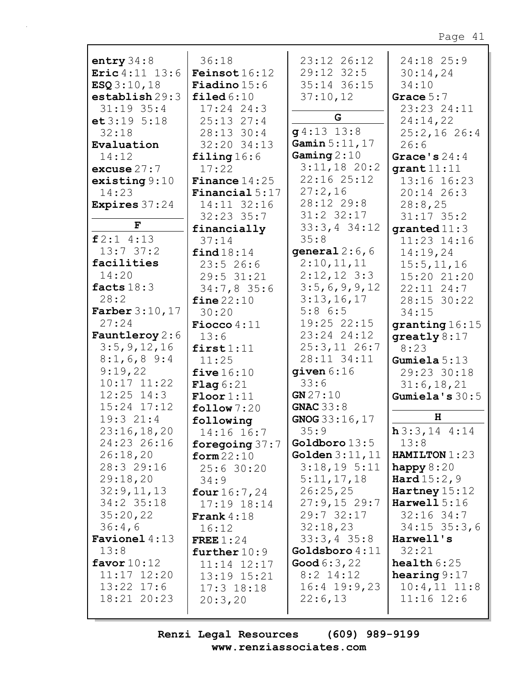| entry $34:8$            | 36:18                   | 23:12 26:12             | 24:18 25:9             |
|-------------------------|-------------------------|-------------------------|------------------------|
| Eric 4:11 13:6          | <b>Feinsot</b> $16:12$  | $29:12$ $32:5$          | 30:14,24               |
| ESQ3:10,18              | <b>Fiadino</b> $15:6$   | 35:14 36:15             | 34:10                  |
|                         |                         |                         |                        |
| establish 29:3          | $\texttt{filed} 6:10$   | 37:10,12                | Grace $5:7$            |
| $31:19$ 35:4            | $17:24$ 24:3            |                         | 23:23 24:11            |
| et 3:19 5:18            | $25:13$ $27:4$          | G                       | 24:14,22               |
| 32:18                   | 28:13 30:4              | $g4:13$ 13:8            | $25:2,16$ 26:4         |
|                         |                         | Gamin 5:11, 17          |                        |
| Evaluation              | 32:20 34:13             |                         | 26:6                   |
| 14:12                   | filing $16:6$           | Gaming $2:10$           | Grace's $24:4$         |
| excuse $27:7$           | 17:22                   | $3:11,18$ 20:2          | grant 11:11            |
| existsing 9:10          | <b>Finance</b> $14:25$  | 22:16 25:12             | 13:16 16:23            |
| 14:23                   | <b>Financial</b> $5:17$ | 27:2,16                 | 20:14 26:3             |
|                         |                         | 28:12 29:8              |                        |
| <b>Expires</b> 37:24    | 14:11 32:16             |                         | 28:8,25                |
|                         | $32:23$ $35:7$          | 31:2 32:17              | $31:17$ 35:2           |
| $\mathbf F$             | financially             | $33:3,4$ 34:12          | granted $11:3$         |
| f2:14:13                | 37:14                   | 35:8                    | 11:23 14:16            |
| 13:737:2                |                         | qeneral $2:6,6$         |                        |
|                         | find 18:14              |                         | 14:19,24               |
| facilities              | 23:526:6                | 2:10,11,11              | 15:5, 11, 16           |
| 14:20                   | 29:5 31:21              | $2:12,12$ 3:3           | 15:20 21:20            |
| facts $18:3$            | $34:7,8$ 35:6           | 3:5,6,9,9,12            | $22:11$ $24:7$         |
| 28:2                    | fine $22:10$            | 3:13,16,17              | 28:15 30:22            |
|                         |                         | 5:86:5                  |                        |
| <b>Farber</b> $3:10,17$ | 30:20                   |                         | 34:15                  |
| 27:24                   | Fiocco $4:11$           | 19:25 22:15             | granting 16:15         |
| <b>Fauntleroy</b> 2:6   | 13:6                    | 23:24 24:12             | greatly $8:17$         |
| 3:5, 9, 12, 16          | first1:11               | $25:3,11$ $26:7$        | 8:23                   |
| $8:1,6,8$ 9:4           | 11:25                   | 28:11 34:11             | Gumiela $5:13$         |
| 9:19,22                 |                         | given $6:16$            |                        |
|                         | five $16:10$            |                         | 29:23 30:18            |
| $10:17$ $11:22$         | Flag 6:21               | 33:6                    | 31:6, 18, 21           |
| $12:25$ $14:3$          | $\text{Floor}1:11$      | GN 27:10                | Gumiela's $30:5$       |
| 15:24 17:12             | $\texttt{follow} 7:20$  | GNAC $33:8$             |                        |
| 19:321:4                | following               | GNOG 33:16,17           | H                      |
| 23:16,18,20             | 14:16 16:7              | 35:9                    | $h3:3,14$ 4:14         |
| 24:23 26:16             |                         | Goldboro $13:5$         | 13:8                   |
|                         | foregoing $37:7$        |                         |                        |
| 26:18,20                | form $22:10$            | <b>Golden</b> $3:11,11$ | HAMILTON 1:23          |
| 28:3 29:16              | 25:630:20               | $3:18,19$ 5:11          | happy $8:20$           |
| 29:18,20                | 34:9                    | 5:11,17,18              | <b>Hard</b> $15:2,9$   |
| 32:9,11,13              | four $16:7,24$          | 26:25,25                | Hartney $15:12$        |
|                         |                         |                         | Harwell $5:16$         |
| $34:2$ 35:18            | $17:19$ $18:14$         | 27:9,1529:7             |                        |
| 35:20,22                | <b>Frank</b> $4:18$     | 29:732:17               | $32:16$ 34:7           |
| 36:4,6                  | 16:12                   | 32:18,23                | $34:15$ 35:3,6         |
| <b>Favionel</b> 4:13    | FREE $1:24$             | $33:3,4$ 35:8           | Harwell's              |
| 13:8                    | further $10:9$          | Goldsboro 4:11          | 32:21                  |
|                         |                         |                         | $\texttt{health} 6:25$ |
| favor $10:12$           | 11:14 12:17             | <b>Good</b> $6:3,22$    |                        |
| 11:17 12:20             | 13:19 15:21             | $8:2$ 14:12             | hearing $9:17$         |
| $13:22$ $17:6$          | $17:3$ $18:18$          | $16:4$ 19:9,23          | $10:4,11$ $11:8$       |
| 18:21 20:23             |                         | 22:6,13                 | $11:16$ $12:6$         |
|                         |                         |                         |                        |
|                         | 20:3,20                 |                         |                        |

Renzi Legal Resources  $(609)$  989-9199 www.renziassociates.com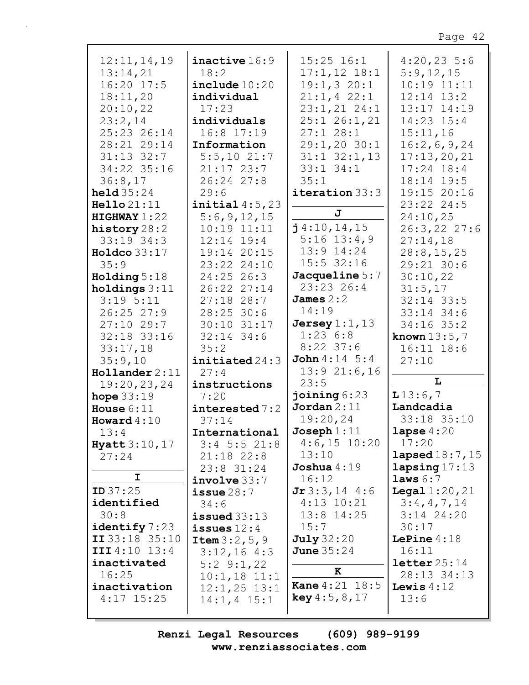| 12:11,14,19            | inactive 16:9           | $15:25$ $16:1$           | $4:20,23$ 5:6          |
|------------------------|-------------------------|--------------------------|------------------------|
| 13:14,21               | 18:2                    | $17:1,12$ 18:1           | 5:9,12,15              |
| $16:20$ 17:5           | include 10:20           | 19:1,320:1               | $10:19$ $11:11$        |
| 18:11,20               | individual              | $21:1, 4$ 22:1           | $12:14$ $13:2$         |
|                        |                         |                          | 13:17 14:19            |
| 20:10,22               | 17:23                   | 23:1, 21 24:1            |                        |
| 23:2,14                | individuals             | $25:1$ $26:1,21$         | 14:23 15:4             |
| 25:23 26:14            | $16:8$ 17:19            | 27:128:1                 | 15:11,16               |
| 28:21 29:14            | Information             | 29:1,20 30:1             | 16:2,6,9,24            |
| $31:13$ $32:7$         | $5:5,10$ 21:7           | $31:1$ $32:1$ , 13       | 17:13,20,21            |
| 34:22 35:16            | $21:17$ 23:7            | $33:1$ $34:1$            | $17:24$ 18:4           |
| 36:8,17                | 26:24 27:8              | 35:1                     | 18:14 19:5             |
|                        |                         |                          |                        |
| held $35:24$           | 29:6                    | iteration 33:3           | 19:15 20:16            |
| Hello 21:11            | initial $4:5,23$        |                          | 23:22 24:5             |
| HIGHWAY1:22            | 5:6,9,12,15             | J                        | 24:10,25               |
| history 28:2           | $10:19$ $11:11$         | $j$ 4:10,14,15           | 26:3, 22 27:6          |
| $33:19$ $34:3$         | $12:14$ $19:4$          | $5:16$ 13:4,9            | 27:14,18               |
| Holdco $33:17$         | 19:14 20:15             | $13:9$ $14:24$           | 28:8, 15, 25           |
| 35:9                   | 23:22 24:10             | $15:5$ 32:16             | 29:21 30:6             |
| Holding $5:18$         | $24:25$ 26:3            | Jacqueline 5:7           | 30:10,22               |
| holdings $3:11$        | 26:22 27:14             | $23:23$ 26:4             | 31:5,17                |
| $3:19$ $5:11$          | $27:18$ 28:7            | James $2:2$              | $32:14$ 33:5           |
|                        |                         | 14:19                    |                        |
| $26:25$ 27:9           | $28:25$ 30:6            |                          | 33:14 34:6             |
| $27:10$ 29:7           | 30:10 31:17             | Jersey $1:1$ , $13$      | $34:16$ 35:2           |
| 32:18 33:16            | $32:14$ 34:6            | 1:236:8                  | <b>known</b> $13:5, 7$ |
| 33:17,18               | 35:2                    | $8:22$ 37:6              | $16:11$ $18:6$         |
| 35:9,10                | initiated 24:3          | <b>John</b> $4:14 \ 5:4$ | 27:10                  |
| $H$ ollander 2:11      | 27:4                    | $13:9$ $21:6$ , 16       |                        |
| 19:20, 23, 24          | instructions            | 23:5                     | L                      |
| hope $33:19$           | 7:20                    | joining $6:23$           | 13:6,7                 |
| House $6:11$           | interested 7:2          | Jordan 2:11              | Landcadia              |
| Howard $4:10$          | 37:14                   | 19:20,24                 | 33:18 35:10            |
| 13:4                   | International           | Joseph $1:11$            | lapse $4:20$           |
|                        |                         | $4:6,15$ 10:20           | 17:20                  |
| <b>Hyatt</b> $3:10,17$ | $3:4$ 5:5 21:8          | 13:10                    | lapsed $18:7$ , $15$   |
| 27:24                  | $21:18$ $22:8$          |                          |                        |
| I                      | 23:8 31:24              | Joshua $4:19$            | lapsing17:13           |
|                        | involve 33:7            | 16:12                    | laws 6:7               |
| <b>ID</b> $37:25$      | $i$ ssue $28:7$         | $Jr$ 3:3, 14 4:6         | <b>Legal</b> $1:20,21$ |
| identified             | 34:6                    | $4:13$ $10:21$           | 3:4,4,7,14             |
| 30:8                   | $i$ ssued $33:13$       | $13:8$ 14:25             | $3:14$ 24:20           |
| identity 7:23          | issues $12:4$           | 15:7                     | 30:17                  |
| II 33:18 35:10         | <b>Item</b> $3:2, 5, 9$ | <b>July</b> 32:20        | LePine $4:18$          |
| III4:10 13:4           | $3:12,16$ 4:3           | <b>June</b> 35:24        | 16:11                  |
| inactivated            | $5:2$ 9:1,22            |                          | $\texttt{letter}25:14$ |
| 16:25                  | $10:1,18$ $11:1$        | к                        | 28:13 34:13            |
| inactivation           | $12:1,25$ $13:1$        | <b>Kane</b> 4:21 18:5    | Lewis $4:12$           |
| $4:17$ 15:25           |                         | key 4:5, 8, 17           | 13:6                   |
|                        | $14:1, 4$ 15:1          |                          |                        |
|                        |                         |                          |                        |

Renzi Legal Resources  $(609)$  989-9199 www.renziassociates.com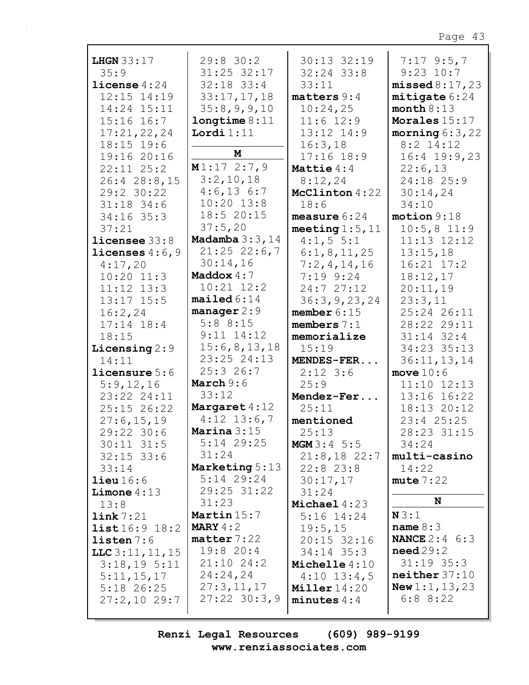| <b>LHGN</b> 33:17             | $29:8$ 30:2                   | $30:13$ $32:19$         | $7:17$ 9:5,7                      |
|-------------------------------|-------------------------------|-------------------------|-----------------------------------|
| 35:9                          | 31:25 32:17                   | $32:24$ 33:8            | $9:23$ 10:7                       |
| license $4:24$                | $32:18$ 33:4                  | 33:11                   | missed 8:17,23                    |
| 12:15 14:19                   | 33:17,17,18                   | $matters 9:4$           | mitigate 6:24                     |
| 14:24 15:11<br>$15:16$ $16:7$ | 35:8,9,9,10                   | 10:24,25<br>$11:6$ 12:9 | month $8:13$                      |
| 17:21,22,24                   | longtime 8:11<br>Lordi $1:11$ | 13:12 14:9              | Morales 15:17<br>morning $6:3,22$ |
| $18:15$ 19:6                  |                               | 16:3,18                 | $8:2$ 14:12                       |
| 19:16 20:16                   | M                             | $17:16$ $18:9$          | $16:4$ 19:9,23                    |
| $22:11$ $25:2$                | M1:172:7,9                    | Mattie $4:4$            | 22:6,13                           |
| 26:4 28:8,15                  | 3:2,10,18                     | 8:12,24                 | 24:18 25:9                        |
| 29:2 30:22                    | $4:6,13$ 6:7                  | McClinton 4:22          | 30:14,24                          |
| $31:18$ 34:6                  | $10:20$ $13:8$                | 18:6                    | 34:10                             |
| $34:16$ 35:3                  | 18:5 20:15                    | measure $6:24$          | motion 9:18                       |
| 37:21                         | 37:5,20                       | meeting $1:5$ , $11$    | $10:5,8$ 11:9                     |
| $l$ icensee $33:8$            | Madamba $3:3$ , $14$          | 4:1, 5 5:1              | $11:13$ $12:12$                   |
| licenses $4:6,9$              | $21:25$ 22:6,7                | 6:1,8,11,25             | 13:15,18                          |
| 4:17,20                       | 30:14,16                      | 7:2,4,14,16             | $16:21$ $17:2$                    |
| $10:20$ $11:3$                | Maddox $4:7$                  | $7:19$ $9:24$           | 18:12,17                          |
| $11:12$ $13:3$                | $10:21$ $12:2$                | 24:727:12               | 20:11,19                          |
| $13:17$ $15:5$                | mailed 6:14                   | 36:3, 9, 23, 24         | 23:3,11                           |
| 16:2,24                       | manager $2:9$                 | member $6:15$           | 25:24 26:11                       |
| $17:14$ $18:4$                | 5:88:15                       | members $7:1$           | 28:22 29:11                       |
| 18:15                         | $9:11$ $14:12$                | memorialize             | $31:14$ 32:4                      |
| Licensing $2:9$               | 15:6,8,13,18<br>23:25 24:13   | 15:19                   | 34:23 35:13                       |
| 14:11                         | 25:326:7                      | MENDES-FER              | 36:11, 13, 14                     |
| licensure 5:6<br>5:9,12,16    | March $9:6$                   | $2:12$ 3:6<br>25:9      | move $10:6$<br>$11:10$ $12:13$    |
| 23:22 24:11                   | 33:12                         | Mendez-Fer              | 13:16 16:22                       |
| 25:15 26:22                   | Margaret 4:12                 | 25:11                   | 18:13 20:12                       |
| 27:6,15,19                    | $4:12$ 13:6,7                 | mentioned               | $23:4$ $25:25$                    |
| 29:22 30:6                    | Marina $3:15$                 | 25:13                   | 28:23 31:15                       |
| $30:11$ $31:5$                | 5:14 29:25                    | <b>MGM</b> $3:4$ 5:5    | 34:24                             |
| $32:15$ 33:6                  | 31:24                         | $21:8,18$ 22:7          | multi-casino                      |
| 33:14                         | Marketing 5:13                | $22:8$ $23:8$           | 14:22                             |
| lieu16:6                      | $5:14$ 29:24                  | 30:17,17                | mute 7:22                         |
| Limone $4:13$                 | 29:25 31:22                   | 31:24                   |                                   |
| 13:8                          | 31:23                         | Michael $4:23$          | N                                 |
| $\mathtt{link}$ 7:21          | Martin 15:7                   | $5:16$ 14:24            | N3:1                              |
| list16:9 18:2                 | MARY $4:2$                    | 19:5,15                 | name $8:3$                        |
| listen 7:6                    | matter 7:22                   | $20:15$ 32:16           | <b>NANCE</b> $2:4 \ 6:3$          |
| $LLC$ 3:11, 11, 15            | 19:820:4                      | $34:14$ $35:3$          | need29:2                          |
| 3:18,195:11                   | $21:10$ 24:2                  | Michelle 4:10           | $31:19$ 35:3                      |
| 5:11,15,17                    | 24:24,24                      | $4:10$ 13:4,5           | neither 37:10                     |
| $5:18$ 26:25                  | 27:3,11,17<br>$27:22$ 30:3,9  | Miller $14:20$          | <b>New 1:1, 13, 23</b><br>6:88:22 |
| 27:2,1029:7                   |                               | minutes $4:4$           |                                   |
|                               |                               |                         |                                   |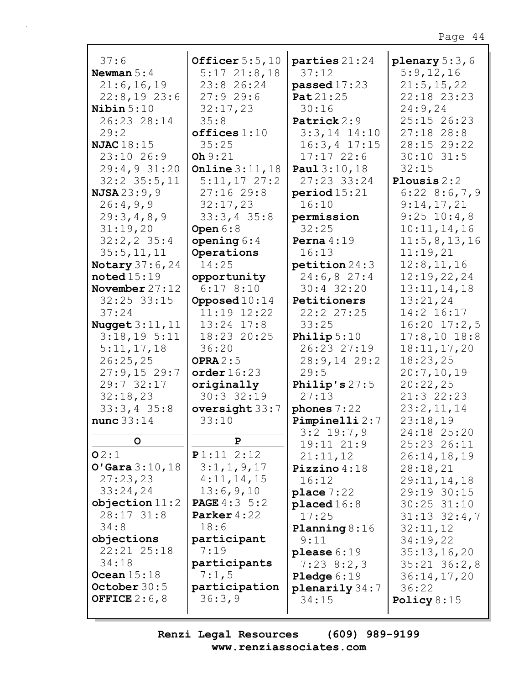| 37:6                  | Officer $5:5,10$         | parties 21:24        | plenary $5:3,6$  |
|-----------------------|--------------------------|----------------------|------------------|
| Newman $5:4$          | $5:17$ $21:8,18$         | 37:12                | 5:9,12,16        |
| 21:6, 16, 19          | 23:8 26:24               | passed17:23          | 21:5, 15, 22     |
| $22:8,19$ 23:6        | 27:929:6                 | Pat 21:25            | 22:18 23:23      |
| Nibin $5:10$          | 32:17,23                 | 30:16                | 24:9,24          |
| 26:23 28:14           | 35:8                     | Patrick 2:9          | 25:15 26:23      |
| 29:2                  | offices 1:10             | $3:3,14$ 14:10       | $27:18$ 28:8     |
| NJAC $18:15$          | 35:25                    | $16:3, 4$ 17:15      | 28:15 29:22      |
| 23:10 26:9            | Oh 9:21                  | 17:1722:6            | $30:10$ 31:5     |
| 29:4,931:20           | <b>Online</b> $3:11,18$  | Paul 3:10,18         | 32:15            |
| $32:2$ $35:5$ , 11    | $5:11,17$ 27:2           | 27:23 33:24          | Plousis $2:2$    |
| NJSA23:9,9            | 27:1629:8                | period 15:21         | $6:22$ 8:6,7,9   |
| 26:4,9,9              | 32:17,23                 | 16:10                | 9:14,17,21       |
| 29:3,4,8,9            | $33:3,4$ 35:8            | permission           | $9:25$ 10:4,8    |
| 31:19,20              | Open $6:8$               | 32:25                | 10:11,14,16      |
| $32:2, 2$ 35:4        | opening $6:4$            | Perna $4:19$         | 11:5,8,13,16     |
| 35:5, 11, 11          | Operations               | 16:13                | 11:19,21         |
| <b>Notary</b> 37:6,24 | 14:25                    | petition 24:3        | 12:8, 11, 16     |
| $\texttt{noted15:19}$ | opportunity              | 24:6,827:4           | 12:19,22,24      |
| November $27:12$      | 6:178:10                 | $30:4$ 32:20         | 13:11,14,18      |
| $32:25$ $33:15$       | Opposed $10:14$          | Petitioners          | 13:21,24         |
| 37:24                 | 11:19 12:22              | 22:2 27:25           | 14:2 16:17       |
|                       | $13:24$ $17:8$           | 33:25                | $16:20$ $17:2,5$ |
| Nugget $3:11$ , $11$  |                          |                      |                  |
| 3:18,195:11           | 18:23 20:25              | Philip $5:10$        | $17:8,10$ 18:8   |
| 5:11,17,18            | 36:20                    | 26:23 27:19          | 18:11, 17, 20    |
| 26:25,25              | OPRA $2:5$               | $28:9,14$ 29:2       | 18:23,25         |
| $27:9,15$ 29:7        | order 16:23              | 29:5                 | 20:7,10,19       |
| 29:7 32:17            | originally               | Philip's $27:5$      | 20:22,25         |
| 32:18,23              | 30:332:19                | 27:13                | 21:3 22:23       |
| $33:3,4$ 35:8         | oversight 33:7           | phones $7:22$        | 23:2,11,14       |
| nunc $33:14$          | 33:10                    | Pimpinelli 2:7       | 23:18,19         |
| O                     |                          | $3:2$ 19:7,9         | 24:18 25:20      |
|                       | Р                        | 19:11 21:9           | 25:23 26:11      |
| O2:1                  | P1:11 2:12               | 21:11,12             | 26:14,18,19      |
| O'Gara 3:10, 18       | 3:1,1,9,17               | Pizzino $4:18$       | 28:18,21         |
| 27:23,23              | 4:11,14,15               | 16:12                | 29:11,14,18      |
| 33:24,24              | 13:6,9,10                | place 7:22           | 29:19 30:15      |
| objection 11:2        | <b>PAGE</b> $4:3 \, 5:2$ | placed 16:8          | $30:25$ $31:10$  |
| $28:17$ $31:8$        | Parker $4:22$            | 17:25                | $31:13$ $32:4,7$ |
| 34:8                  | 18:6                     | Planning $8:16$      | 32:11,12         |
| objections            | participant              | 9:11                 | 34:19,22         |
| 22:21 25:18           | 7:19                     | please $6:19$        | 35:13,16,20      |
| 34:18                 | participants             | $7:23$ 8:2,3         | $35:21$ $36:2,8$ |
| Ocean $15:18$         | 7:1,5                    | <b>Pledge</b> $6:19$ | 36:14,17,20      |
| October $30:5$        | participation            | $plane$ ily 34:7     | 36:22            |
| OFFICE $2:6,8$        | 36:3,9                   | 34:15                | Policy $8:15$    |
|                       |                          |                      |                  |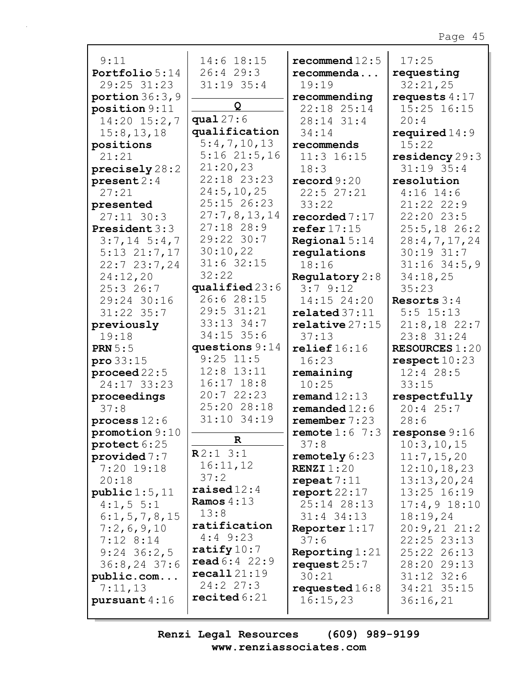| 9:11                           | 14:6 18:15                      | recommend $12:5$              | 17:25                        |
|--------------------------------|---------------------------------|-------------------------------|------------------------------|
| Portfolio 5:14                 | 26:429:3                        | recommenda                    | requesting                   |
| 29:25 31:23                    | $31:19$ 35:4                    | 19:19                         | 32:21,25                     |
| portion $36:3,9$               |                                 | recommending                  | requests $4:17$              |
| position 9:11                  | Q                               | 22:18 25:14                   | 15:25 16:15                  |
| $14:20$ $15:2,7$               | qual $27:6$                     | 28:14 31:4                    | 20:4                         |
| 15:8, 13, 18                   | qualification                   | 34:14                         | required $14:9$              |
| positions                      | 5:4,7,10,13                     | recommends                    | 15:22                        |
| 21:21                          | $5:16$ $21:5$ , 16              | $11:3$ 16:15                  | residency $29:3$             |
| precisely 28:2                 | 21:20,23                        | 18:3                          | $31:19$ 35:4                 |
| present 2:4                    | 22:18 23:23                     | $\texttt{record} 9:20$        | resolution                   |
| 27:21                          | 24:5, 10, 25                    | 22:527:21                     | $4:16$ 14:6                  |
| presented                      | 25:15 26:23                     | 33:22                         | 21:22 22:9                   |
| $27:11$ 30:3                   | 27:7,8,13,14                    | recorded $7:17$               | 22:20 23:5                   |
| <b>President</b> 3:3           | $27:18$ 28:9                    | refer $17:15$                 | $25:5,18$ 26:2               |
| $3:7,14 \ 5:4,7$               | 29:22 30:7                      | Regional $5:14$               | 28:4,7,17,24                 |
| $5:13$ $21:7,17$               | 30:10,22                        | regulations                   | $30:19$ $31:7$               |
| 22:723:7,24                    | $31:6$ 32:15                    | 18:16                         | $31:16$ 34:5,9               |
| 24:12,20                       | 32:22                           | Regulatory $2:8$              | 34:18,25                     |
| 25:326:7                       | qualified $23:6$                | 3:79:12                       | 35:23                        |
| 29:24 30:16                    | 26:6 28:15                      | 14:15 24:20                   | Resorts $3:4$                |
| $31:22$ $35:7$                 | 29:5 31:21                      | related 37:11                 | $5:5$ 15:13                  |
| previously                     | 33:13 34:7                      | $\texttt{relative} 27:15$     | $21:8,18$ 22:7               |
| 19:18                          | $34:15$ 35:6                    | 37:13                         | 23:8 31:24                   |
| <b>PRN</b> $5:5$               | questions $9:14$                | relief16:16                   | <b>RESOURCES 1:20</b>        |
| $\text{pro } 33:15$            | $9:25$ 11:5                     | 16:23                         | respect 10:23                |
| proceed $22:5$                 | $12:8$ $13:11$                  | remaining                     | $12:4$ 28:5                  |
| 24:17 33:23                    | $16:17$ $18:8$                  | 10:25                         | 33:15                        |
| proceedings                    | 20:722:23<br>25:20 28:18        | remand $12:13$                | respectfully                 |
| 37:8                           |                                 | remanded $12:6$               | 20:425:7                     |
| process $12:6$                 | 31:10 34:19                     | remember 7:23                 | 28:6                         |
| promotion 9:10                 | $\mathbf R$                     | remote $1:6$ 7:3              | response9:16                 |
| protect 6:25                   | R2:13:1                         | 37:8                          | 10:3, 10, 15                 |
| provided $7:7$                 | 16:11,12                        | remotely 6:23                 | 11:7,15,20                   |
| $7:20$ 19:18                   | 37:2                            | <b>RENZI</b> $1:20$           | 12:10, 18, 23                |
| 20:18                          | raised $12:4$                   | repeat $7:11$                 | 13:13,20,24                  |
| public 1:5, 11<br>4:1, 5 5:1   | <b>Ramos</b> $4:13$             | $\texttt{report22:17}$        | 13:25 16:19                  |
|                                | 13:8                            | 25:14 28:13<br>$31:4$ $34:13$ | $17:4,9$ $18:10$<br>18:19,24 |
| 6:1, 5, 7, 8, 15<br>7:2,6,9,10 | ratification                    | Reporter $1:17$               | 20:9,2121:2                  |
| $7:12$ 8:14                    | $4:4$ 9:23                      | 37:6                          | $22:25$ $23:13$              |
| $9:24$ 36:2,5                  | ratify $10:7$                   | Reporting $1:21$              | 25:22 26:13                  |
| $36:8, 24$ 37:6                | $\text{read } 6:4 \ 22:9$       | request $25:7$                | 28:20 29:13                  |
| public.com                     | recall21:19                     | 30:21                         | $31:12$ $32:6$               |
| 7:11,13                        | 24:227:3                        | requested $16:8$              | 34:21 35:15                  |
| pursuant $4:16$                | $\texttt{recited}\,6\colon\!21$ | 16:15,23                      | 36:16,21                     |
|                                |                                 |                               |                              |

Renzi Legal Resources  $(609)$  989-9199 www.renziassociates.com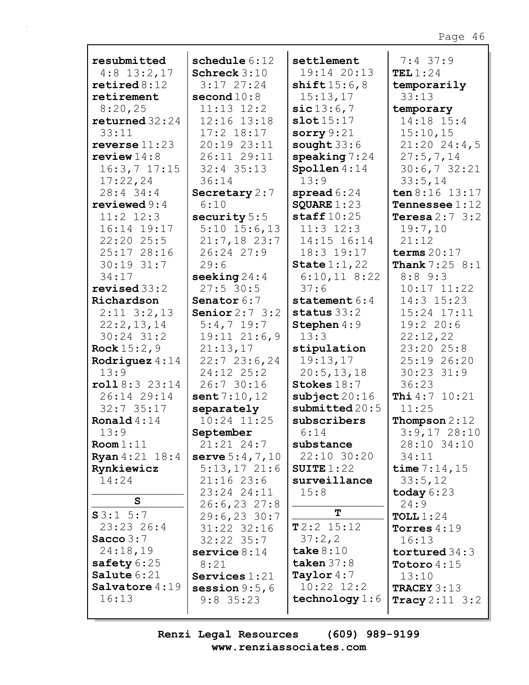| resubmitted                     | schedule $6:12$                   | settlement                     | $7:4$ 37:9                        |
|---------------------------------|-----------------------------------|--------------------------------|-----------------------------------|
| $4:8$ 13:2,17                   | Schreck $3:10$                    | 19:14 20:13                    | TEL $1:24$                        |
| $\texttt{retired8:12}$          | $3:17$ $27:24$                    | shift15:6,8                    | temporarily                       |
| retirement                      | second $10:8$                     | 15:13,17                       | 33:13                             |
| 8:20,25                         | $11:13$ $12:2$                    | sic13:6,7                      | temporary                         |
| returned $32:24$                | 12:16 13:18                       | slot15:17                      | 14:18 15:4                        |
| 33:11                           | $17:2$ $18:17$                    | sorry $9:21$                   | 15:10,15                          |
| reverse $11:23$                 | 20:19 23:11                       | sought $33:6$                  | $21:20$ 24:4,5                    |
| review $14:8$                   | 26:11 29:11                       | $\text{speaking}$ 7:24         | 27:5,7,14                         |
| $16:3,7$ 17:15                  | $32:4$ $35:13$                    | Spollen $4:14$                 | 30:6,732:21                       |
| 17:22,24                        | 36:14                             | 13:9                           | 33:5,14                           |
| 28:4 34:4                       | Secretary $2:7$                   | spread $6:24$                  | ten $8:16$ 13:17                  |
| reviewed $9:4$                  | 6:10                              | SQUARE $1:23$                  | <b>Tennessee</b> $1:12$           |
| $11:2$ $12:3$                   | security 5:5                      | staff $10:25$                  | Teresa $2:7$ 3:2                  |
| 16:14 19:17                     | $5:10$ 15:6,13                    | $11:3$ $12:3$                  | 19:7,10                           |
| 22:20 25:5                      | $21:7,18$ 23:7                    | 14:15 16:14                    | 21:12                             |
| 25:17 28:16                     | 26:24 27:9                        | 18:3 19:17                     | terms $20:17$                     |
| 30:19 31:7                      | 29:6                              | State $1:1,22$                 | <b>Thank</b> $7:25$ $8:1$         |
| 34:17                           | seeking $24:4$                    | $6:10,11$ 8:22                 | 8:89::3                           |
| revised 33:2                    | $27:5$ 30:5                       | 37:6                           | $10:17$ $11:22$<br>$14:3$ $15:23$ |
| Richardson                      | Senator 6:7<br>Senior $2:7 \ 3:2$ | statement $6:4$                | 15:24 17:11                       |
| $2:11$ $3:2,13$<br>22:2,13,14   | $5:4,7$ 19:7                      | status $33:2$<br>Stephen 4:9   | 19:220:6                          |
| $30:24$ $31:2$                  | $19:11$ $21:6,9$                  | 13:3                           | 22:12,22                          |
| <b>Rock</b> $15:2,9$            | 21:13,17                          | stipulation                    | 23:20 25:8                        |
| Rodriguez $4:14$                | 22:723:6,24                       | 19:13,17                       | 25:19 26:20                       |
| 13:9                            | 24:12 25:2                        | 20:5, 13, 18                   | $30:23$ $31:9$                    |
| roll8:323:14                    | 26:7 30:16                        | Stokes 18:7                    | 36:23                             |
| 26:14 29:14                     | sent $7:10,12$                    | $\texttt{subject} 20:16$       | Thi 4:7 10:21                     |
| $32:7$ 35:17                    | separately                        | submitted $20:5$               | 11:25                             |
| Ronald $4:14$                   | 10:24 11:25                       | subscribers                    | Thompson $2:12$                   |
| 13:9                            | September                         | 6:14                           | $3:9,17$ 28:10                    |
| Room 1:11                       | $21:21$ $24:7$                    | substance                      | 28:10 34:10                       |
| <b>Ryan</b> $4:21$ $18:4$       | serve $5:4,7,10$                  | 22:10 30:20                    | 34:11                             |
| Rynkiewicz                      | $5:13,17$ 21:6                    | SUITE $1:22$                   | time $7:14,15$                    |
| 14:24                           | $21:16$ 23:6                      | surveillance                   | 33:5,12                           |
|                                 | 23:24 24:11                       | 15:8                           | today $6:23$                      |
| S                               | $26:6, 23$ 27:8                   |                                | 24:9                              |
| S3:1 5:7                        | $29:6, 23$ 30:7                   | T                              | TOLL $1:24$                       |
| 23:23 26:4                      | 31:22 32:16                       | $T2:2$ 15:12                   | Torres $4:19$                     |
| Sacco $3:7$                     | $32:22$ $35:7$                    | 37:2,2                         | 16:13                             |
| 24:18,19                        | service $8:14$                    | take $8:10$                    | tortured $34:3$                   |
| safety $6:25$                   | 8:21                              | taken $37:8$                   | <b>Totoro</b> $4:15$              |
| Salute 6:21<br>Salvatore $4:19$ | Services $1:21$                   | Taylor $4:7$<br>$10:22$ $12:2$ | 13:10                             |
| 16:13                           | session $9:5,6$                   | technology $1:6$               | <b>TRACEY</b> $3:13$              |
|                                 | $9:8$ 35:23                       |                                | <b>Tracy</b> $2:11 \ 3:2$         |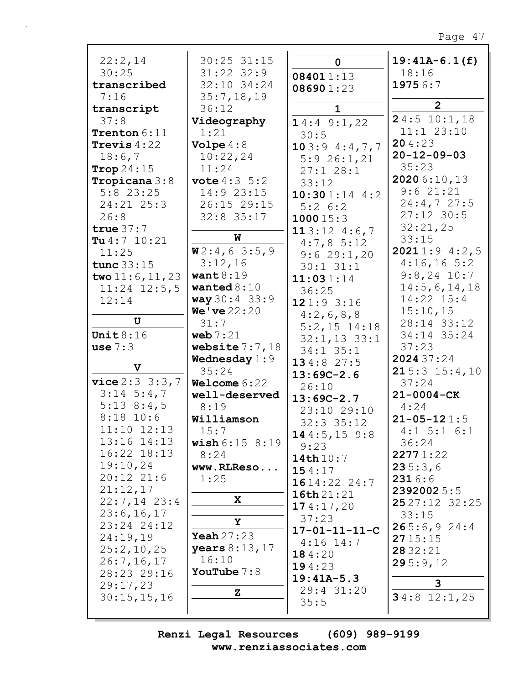| 22:2,14            | 30:25 31:15               | $\mathbf 0$             | $19:41A-6.1(f)$     |
|--------------------|---------------------------|-------------------------|---------------------|
| 30:25              | $31:22$ $32:9$            | 084011:13               | 18:16               |
| transcribed        | 32:10 34:24               | 086901:23               | 19756:7             |
| 7:16               | 35:7,18,19                |                         | $\overline{2}$      |
| transcript         | 36:12                     | $\mathbf{1}$            |                     |
| 37:8               | Videography               | 14:49::1,22             | 24:510:1,18         |
| Trenton 6:11       | 1:21                      | 30:5                    | 11:1 23:10          |
| Trevis $4:22$      | Volpe $4:8$               | 103:94:377              | 204:23              |
| 18:6,7             | 10:22,24                  | 5:926:1,21              | $20 - 12 - 09 - 03$ |
| Trop $24:15$       | 11:24                     | 27:128:1                | 35:23               |
| Tropicana 3:8      | <b>vote</b> $4:3 \ 5:2$   | 33:12                   | 2020 6:10,13        |
| $5:8$ 23:25        | 14:9 23:15                | $10:301:14$ 4:2         | 9:621:21            |
| 24:21 25:3         | 26:15 29:15               | $5:2 \; 6:2$            | 24:4,727:5          |
| 26:8               | $32:8$ 35:17              | 100015:3                | $27:12$ 30:5        |
| true $37:7$        |                           | 113:124:6,7             | 32:21,25            |
| Tu $4:7$ 10:21     | W                         | 4:7,85:12               | 33:15               |
| 11:25              | W2:4,63:5,9               | 9:629:1,20              | 20211:94:2,5        |
| tunc $33:15$       | 3:12,16                   | $30:1$ $31:1$           | $4:16,16$ 5:2       |
| two $11:6, 11, 23$ | want $8:19$               | 11:031:14               | $9:8,24$ 10:7       |
| $11:24$ $12:5,5$   | wanted $8:10$             | 36:25                   | 14:5,6,14,18        |
| 12:14              | way 30:4 33:9             | 121:93:16               | 14:22 15:4          |
|                    | We've 22:20               | 4:2,6,8,8               | 15:10,15            |
| U                  | 31:7                      | $5:2,15$ 14:18          | 28:14 33:12         |
| Unit $8:16$        | web $7:21$                | $32:1, 13$ 33:1         | 34:14 35:24         |
| use $7:3$          | website $7:7,18$          | $34:1$ $35:1$           | 37:23               |
|                    | <b>Wednesday</b> $1:9$    | 134:827:5               | 2024 37:24          |
| $\mathbf{v}$       | 35:24                     | $13:69C-2.6$            | 215:315:4,10        |
| vice 2:3 3:3,7     | Welcome $6:22$            | 26:10                   | 37:24               |
| $3:14 \ 5:4,7$     | well-deserved             | $13:69C-2.7$            | $21 - 0004 - CK$    |
| $5:13$ 8:4,5       | 8:19                      | 23:10 29:10             | 4:24                |
| $8:18$ 10:6        | Williamson                | $32:3$ $35:12$          | $21 - 05 - 121:5$   |
| 11:10 12:13        | 15:7                      | 144:5, 159:8            | $4:1$ 5:1 6:1       |
| 13:16 14:13        | <b>wish</b> $6:15$ $8:19$ | 9:23                    | 36:24               |
| 16:22 18:13        | 8:24                      | 14th 10:7               | 22771:22            |
| 19:10,24           | www.RLReso                | 154:17                  | 235:3,6             |
| 20:12 21:6         | 1:25                      | 1614:2224:7             | 2316:6              |
| 21:12,17           |                           | 16th21:21               | 2392002 5:5         |
| $22:7,14$ 23:4     | X                         | 174:17,20               | $2527:12$ 32:25     |
| 23:6, 16, 17       |                           | 37:23                   | 33:15               |
| 23:24 24:12        | Υ                         | $17 - 01 - 11 - 11 - C$ | 265:6,924:4         |
| 24:19,19           | Yeah $27:23$              | $4:16$ 14:7             | 2715:15             |
| 25:2,10,25         | years $8:13,17$           | 184:20                  | 28 32:21            |
| 26:7, 16, 17       | 16:10                     | 194:23                  | 295:9,12            |
| 28:23 29:16        | YouTube $7:8$             | $19:41A-5.3$            |                     |
| 29:17,23           |                           | 29:4 31:20              | 3                   |
| 30:15,15,16        | z                         | 35:5                    | $34:8$ 12:1,25      |
|                    |                           |                         |                     |

Renzi Legal Resources  $(609)$  989-9199 www.renziassociates.com